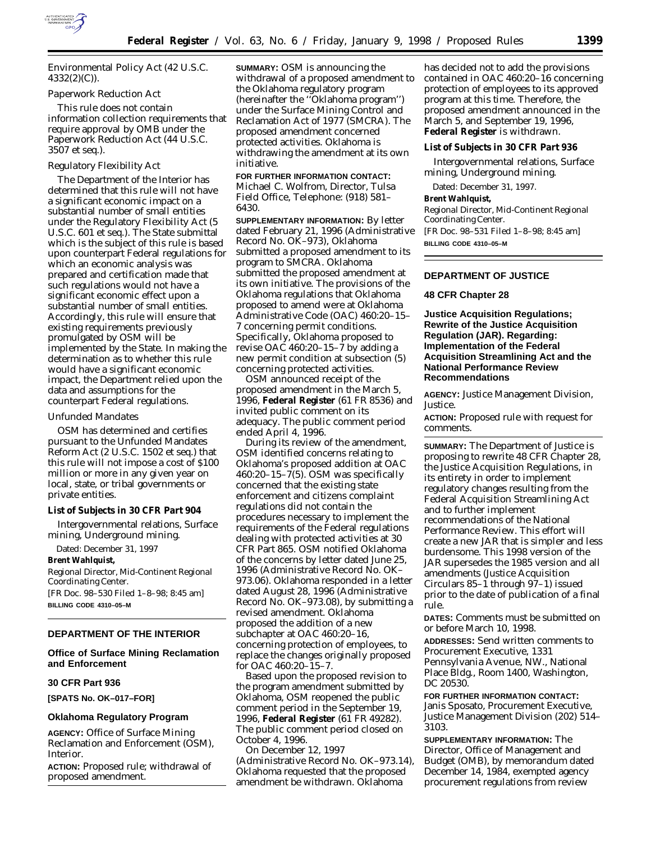

Environmental Policy Act (42 U.S.C. 4332(2)(C)).

## *Paperwork Reduction Act*

This rule does not contain information collection requirements that require approval by OMB under the Paperwork Reduction Act (44 U.S.C. 3507 *et seq*.).

## *Regulatory Flexibility Act*

The Department of the Interior has determined that this rule will not have a significant economic impact on a substantial number of small entities under the Regulatory Flexibility Act (5 U.S.C. 601 *et seq*.). The State submittal which is the subject of this rule is based upon counterpart Federal regulations for which an economic analysis was prepared and certification made that such regulations would not have a significant economic effect upon a substantial number of small entities. Accordingly, this rule will ensure that existing requirements previously promulgated by OSM will be implemented by the State. In making the determination as to whether this rule would have a significant economic impact, the Department relied upon the data and assumptions for the counterpart Federal regulations.

#### *Unfunded Mandates*

OSM has determined and certifies pursuant to the Unfunded Mandates Reform Act (2 U.S.C. 1502 *et seq*.) that this rule will not impose a cost of \$100 million or more in any given year on local, state, or tribal governments or private entities.

### **List of Subjects in 30 CFR Part 904**

Intergovernmental relations, Surface mining, Underground mining.

Dated: December 31, 1997

## **Brent Wahlquist,**

*Regional Director, Mid-Continent Regional Coordinating Center.* [FR Doc. 98–530 Filed 1–8–98; 8:45 am]

**BILLING CODE 4310–05–M**

## **DEPARTMENT OF THE INTERIOR**

**Office of Surface Mining Reclamation and Enforcement**

## **30 CFR Part 936**

**[SPATS No. OK–017–FOR]**

### **Oklahoma Regulatory Program**

**AGENCY:** Office of Surface Mining Reclamation and Enforcement (OSM), Interior.

**ACTION:** Proposed rule; withdrawal of proposed amendment.

**SUMMARY:** OSM is announcing the withdrawal of a proposed amendment to the Oklahoma regulatory program (hereinafter the ''Oklahoma program'') under the Surface Mining Control and Reclamation Act of 1977 (SMCRA). The proposed amendment concerned protected activities. Oklahoma is withdrawing the amendment at its own initiative.

**FOR FURTHER INFORMATION CONTACT:** Michael C. Wolfrom, Director, Tulsa Field Office, Telephone: (918) 581– 6430.

**SUPPLEMENTARY INFORMATION:** By letter dated February 21, 1996 (Administrative Record No. OK–973), Oklahoma submitted a proposed amendment to its program to SMCRA. Oklahoma submitted the proposed amendment at its own initiative. The provisions of the Oklahoma regulations that Oklahoma proposed to amend were at Oklahoma Administrative Code (OAC) 460:20–15– 7 concerning permit conditions. Specifically, Oklahoma proposed to revise OAC 460:20–15–7 by adding a new permit condition at subsection (5) concerning protected activities.

OSM announced receipt of the proposed amendment in the March 5, 1996, **Federal Register** (61 FR 8536) and invited public comment on its adequacy. The public comment period ended April 4, 1996.

During its review of the amendment, OSM identified concerns relating to Oklahoma's proposed addition at OAC 460:20-15-7(5). OSM was specifically concerned that the existing state enforcement and citizens complaint regulations did not contain the procedures necessary to implement the requirements of the Federal regulations dealing with protected activities at 30 CFR Part 865. OSM notified Oklahoma of the concerns by letter dated June 25, 1996 (Administrative Record No. OK– 973.06). Oklahoma responded in a letter dated August 28, 1996 (Administrative Record No. OK–973.08), by submitting a revised amendment. Oklahoma proposed the addition of a new subchapter at OAC 460:20–16, concerning protection of employees, to replace the changes originally proposed for OAC 460:20–15–7.

Based upon the proposed revision to the program amendment submitted by Oklahoma, OSM reopened the public comment period in the September 19, 1996, **Federal Register** (61 FR 49282). The public comment period closed on October 4, 1996.

On December 12, 1997 (Administrative Record No. OK–973.14), Oklahoma requested that the proposed amendment be withdrawn. Oklahoma

has decided not to add the provisions contained in OAC 460:20–16 concerning protection of employees to its approved program at this time. Therefore, the proposed amendment announced in the March 5, and September 19, 1996, **Federal Register** is withdrawn.

#### **List of Subjects in 30 CFR Part 936**

Intergovernmental relations, Surface mining, Underground mining.

Dated: December 31, 1997.

## **Brent Wahlquist,**

*Regional Director, Mid-Continent Regional Coordinating Center.* [FR Doc. 98–531 Filed 1–8–98; 8:45 am]

**BILLING CODE 4310–05–M**

## **DEPARTMENT OF JUSTICE**

## **48 CFR Chapter 28**

**Justice Acquisition Regulations; Rewrite of the Justice Acquisition Regulation (JAR). Regarding: Implementation of the Federal Acquisition Streamlining Act and the National Performance Review Recommendations**

**AGENCY:** Justice Management Division, Justice.

**ACTION:** Proposed rule with request for comments.

**SUMMARY:** The Department of Justice is proposing to rewrite 48 CFR Chapter 28, the Justice Acquisition Regulations, in its entirety in order to implement regulatory changes resulting from the Federal Acquisition Streamlining Act and to further implement recommendations of the National Performance Review. This effort will create a new JAR that is simpler and less burdensome. This 1998 version of the JAR supersedes the 1985 version and all amendments (Justice Acquisition Circulars 85–1 through 97–1) issued prior to the date of publication of a final rule.

**DATES:** Comments must be submitted on or before March 10, 1998.

**ADDRESSES:** Send written comments to Procurement Executive, 1331 Pennsylvania Avenue, NW., National Place Bldg., Room 1400, Washington, DC 20530.

**FOR FURTHER INFORMATION CONTACT:** Janis Sposato, Procurement Executive, Justice Management Division (202) 514– 3103.

**SUPPLEMENTARY INFORMATION:** The Director, Office of Management and Budget (OMB), by memorandum dated December 14, 1984, exempted agency procurement regulations from review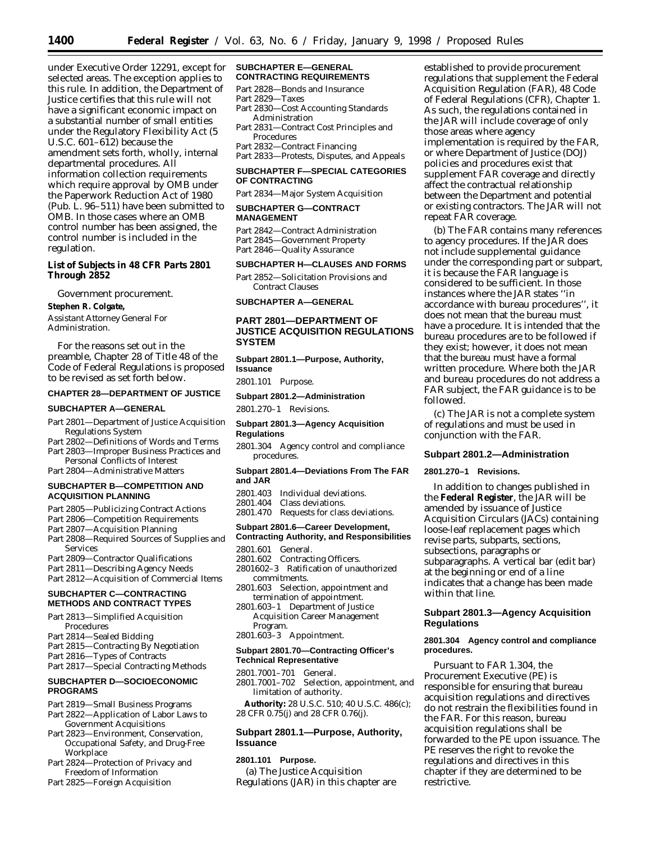under Executive Order 12291, except for selected areas. The exception applies to this rule. In addition, the Department of Justice certifies that this rule will not have a significant economic impact on a substantial number of small entities under the Regulatory Flexibility Act (5 U.S.C. 601–612) because the amendment sets forth, wholly, internal departmental procedures. All information collection requirements which require approval by OMB under the Paperwork Reduction Act of 1980 (Pub. L. 96–511) have been submitted to OMB. In those cases where an OMB control number has been assigned, the control number is included in the regulation.

## **List of Subjects in 48 CFR Parts 2801 Through 2852**

Government procurement.

## **Stephen R. Colgate,**

*Assistant Attorney General For Administration.*

For the reasons set out in the preamble, Chapter 28 of Title 48 of the Code of Federal Regulations is proposed to be revised as set forth below.

#### **CHAPTER 28—DEPARTMENT OF JUSTICE**

#### **SUBCHAPTER A—GENERAL**

- Part 2801—Department of Justice Acquisition Regulations System
- Part 2802—Definitions of Words and Terms Part 2803—Improper Business Practices and
- Personal Conflicts of Interest
- Part 2804—Administrative Matters

## **SUBCHAPTER B—COMPETITION AND ACQUISITION PLANNING**

- Part 2805—Publicizing Contract Actions
- Part 2806—Competition Requirements
- Part 2807—Acquisition Planning
- Part 2808—Required Sources of Supplies and Services
- Part 2809—Contractor Qualifications
- Part 2811—Describing Agency Needs
- Part 2812—Acquisition of Commercial Items

## **SUBCHAPTER C—CONTRACTING METHODS AND CONTRACT TYPES**

- Part 2813—Simplified Acquisition Procedures
- Part 2814—Sealed Bidding
- Part 2815—Contracting By Negotiation
- Part 2816—Types of Contracts
- Part 2817—Special Contracting Methods

## **SUBCHAPTER D—SOCIOECONOMIC PROGRAMS**

- Part 2819—Small Business Programs
- Part 2822—Application of Labor Laws to Government Acquisitions
- Part 2823—Environment, Conservation, Occupational Safety, and Drug-Free Workplace
- Part 2824—Protection of Privacy and Freedom of Information
- Part 2825—Foreign Acquisition

#### **SUBCHAPTER E—GENERAL CONTRACTING REQUIREMENTS**

Part 2828—Bonds and Insurance

- Part 2829—Taxes
- Part 2830—Cost Accounting Standards Administration
- Part 2831—Contract Cost Principles and Procedures
- Part 2832—Contract Financing Part 2833—Protests, Disputes, and Appeals

## **SUBCHAPTER F—SPECIAL CATEGORIES OF CONTRACTING**

Part 2834—Major System Acquisition

#### **SUBCHAPTER G—CONTRACT MANAGEMENT**

Part 2842—Contract Administration Part 2845—Government Property Part 2846—Quality Assurance

#### **SUBCHAPTER H—CLAUSES AND FORMS**

Part 2852—Solicitation Provisions and Contract Clauses

## **SUBCHAPTER A—GENERAL**

## **PART 2801—DEPARTMENT OF JUSTICE ACQUISITION REGULATIONS SYSTEM**

**Subpart 2801.1—Purpose, Authority, Issuance**

2801.101 Purpose.

## **Subpart 2801.2—Administration**

2801.270–1 Revisions.

## **Subpart 2801.3—Agency Acquisition Regulations**

2801.304 Agency control and compliance procedures.

#### **Subpart 2801.4—Deviations From The FAR and JAR**

- 2801.403 Individual deviations.
- 2801.404 Class deviations.
- 2801.470 Requests for class deviations.

### **Subpart 2801.6—Career Development, Contracting Authority, and Responsibilities**

- 2801.601 General.
- 2801.602 Contracting Officers.
- 2801602–3 Ratification of unauthorized commitments.
- 2801.603 Selection, appointment and termination of appointment.
- 2801.603–1 Department of Justice Acquisition Career Management Program.
- 2801.603–3 Appointment.

## **Subpart 2801.70—Contracting Officer's Technical Representative**

- 2801.7001–701 General.
- 2801.7001–702 Selection, appointment, and limitation of authority.

**Authority:** 28 U.S.C. 510; 40 U.S.C. 486(c); 28 CFR 0.75(j) and 28 CFR 0.76(j).

## **Subpart 2801.1—Purpose, Authority, Issuance**

## **2801.101 Purpose.**

(a) The Justice Acquisition Regulations (JAR) in this chapter are

established to provide procurement regulations that supplement the Federal Acquisition Regulation (FAR), 48 Code of Federal Regulations (CFR), Chapter 1. As such, the regulations contained in the JAR will include coverage of only those areas where agency implementation is required by the FAR, or where Department of Justice (DOJ) policies and procedures exist that supplement FAR coverage and directly affect the contractual relationship between the Department and potential or existing contractors. The JAR will not repeat FAR coverage.

(b) The FAR contains many references to agency procedures. If the JAR does not include supplemental guidance under the corresponding part or subpart, it is because the FAR language is considered to be sufficient. In those instances where the JAR states ''in accordance with bureau procedures'', it does not mean that the bureau must have a procedure. It is intended that the bureau procedures are to be followed if they exist; however, it does not mean that the bureau must have a formal written procedure. Where both the JAR and bureau procedures do not address a FAR subject, the FAR guidance is to be followed.

(c) The JAR is not a complete system of regulations and must be used in conjunction with the FAR.

## **Subpart 2801.2—Administration**

#### **2801.270–1 Revisions.**

In addition to changes published in the **Federal Register**, the JAR will be amended by issuance of Justice Acquisition Circulars (JACs) containing loose-leaf replacement pages which revise parts, subparts, sections, subsections, paragraphs or subparagraphs. A vertical bar (edit bar) at the beginning or end of a line indicates that a change has been made within that line.

## **Subpart 2801.3—Agency Acquisition Regulations**

## **2801.304 Agency control and compliance procedures.**

Pursuant to FAR 1.304, the Procurement Executive (PE) is responsible for ensuring that bureau acquisition regulations and directives do not restrain the flexibilities found in the FAR. For this reason, bureau acquisition regulations shall be forwarded to the PE upon issuance. The PE reserves the right to revoke the regulations and directives in this chapter if they are determined to be restrictive.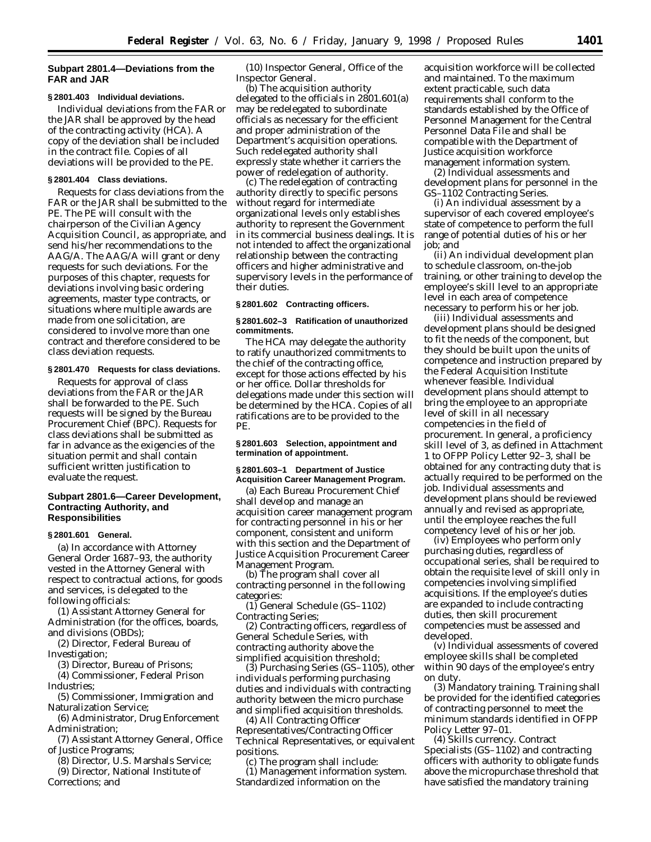## **Subpart 2801.4—Deviations from the FAR and JAR**

#### **§ 2801.403 Individual deviations.**

Individual deviations from the FAR or the JAR shall be approved by the head of the contracting activity (HCA). A copy of the deviation shall be included in the contract file. Copies of all deviations will be provided to the PE.

## **§ 2801.404 Class deviations.**

Requests for class deviations from the FAR or the JAR shall be submitted to the PE. The PE will consult with the chairperson of the Civilian Agency Acquisition Council, as appropriate, and send his/her recommendations to the AAG/A. The AAG/A will grant or deny requests for such deviations. For the purposes of this chapter, requests for deviations involving basic ordering agreements, master type contracts, or situations where multiple awards are made from one solicitation, are considered to involve more than one contract and therefore considered to be class deviation requests.

#### **§ 2801.470 Requests for class deviations.**

Requests for approval of class deviations from the FAR or the JAR shall be forwarded to the PE. Such requests will be signed by the Bureau Procurement Chief (BPC). Requests for class deviations shall be submitted as far in advance as the exigencies of the situation permit and shall contain sufficient written justification to evaluate the request.

## **Subpart 2801.6—Career Development, Contracting Authority, and Responsibilities**

#### **§ 2801.601 General.**

(a) In accordance with Attorney General Order 1687–93, the authority vested in the Attorney General with respect to contractual actions, for goods and services, is delegated to the following officials:

(1) Assistant Attorney General for Administration (for the offices, boards, and divisions (OBDs);

(2) Director, Federal Bureau of Investigation;

(3) Director, Bureau of Prisons;

(4) Commissioner, Federal Prison Industries;

(5) Commissioner, Immigration and Naturalization Service;

(6) Administrator, Drug Enforcement Administration;

(7) Assistant Attorney General, Office of Justice Programs;

(8) Director, U.S. Marshals Service;

(9) Director, National Institute of Corrections; and

(10) Inspector General, Office of the Inspector General.

(b) The acquisition authority delegated to the officials in 2801.601(a) may be redelegated to subordinate officials as necessary for the efficient and proper administration of the Department's acquisition operations. Such redelegated authority shall expressly state whether it carriers the power of redelegation of authority.

(c) The redelegation of contracting authority directly to specific persons without regard for intermediate organizational levels only establishes authority to represent the Government in its commercial business dealings. It is not intended to affect the organizational relationship between the contracting officers and higher administrative and supervisory levels in the performance of their duties.

#### **§ 2801.602 Contracting officers.**

#### **§ 2801.602–3 Ratification of unauthorized commitments.**

The HCA may delegate the authority to ratify unauthorized commitments to the chief of the contracting office, except for those actions effected by his or her office. Dollar thresholds for delegations made under this section will be determined by the HCA. Copies of all ratifications are to be provided to the PE.

## **§ 2801.603 Selection, appointment and termination of appointment.**

## **§ 2801.603–1 Department of Justice Acquisition Career Management Program.**

(a) Each Bureau Procurement Chief shall develop and manage an acquisition career management program for contracting personnel in his or her component, consistent and uniform with this section and the Department of Justice Acquisition Procurement Career Management Program.

(b) The program shall cover all contracting personnel in the following categories:

(1) General Schedule (GS–1102) Contracting Series;

(2) Contracting officers, regardless of General Schedule Series, with contracting authority above the simplified acquisition threshold;

(3) Purchasing Series (GS–1105), other individuals performing purchasing duties and individuals with contracting authority between the micro purchase and simplified acquisition thresholds.

(4) All Contracting Officer Representatives/Contracting Officer Technical Representatives, or equivalent positions.

(c) The program shall include: (1) *Management information system.* Standardized information on the

acquisition workforce will be collected and maintained. To the maximum extent practicable, such data requirements shall conform to the standards established by the Office of Personnel Management for the Central Personnel Data File and shall be compatible with the Department of Justice acquisition workforce management information system.

(2) *Individual assessments and development plans for personnel in the GS–1102 Contracting Series.*

(i) An individual assessment by a supervisor of each covered employee's state of competence to perform the full range of potential duties of his or her job; and

(ii) An individual development plan to schedule classroom, on-the-job training, or other training to develop the employee's skill level to an appropriate level in each area of competence necessary to perform his or her job.

(iii) Individual assessments and development plans should be designed to fit the needs of the component, but they should be built upon the units of competence and instruction prepared by the Federal Acquisition Institute whenever feasible. Individual development plans should attempt to bring the employee to an appropriate level of skill in all necessary competencies in the field of procurement. In general, a proficiency skill level of 3, as defined in Attachment 1 to OFPP Policy Letter 92–3, shall be obtained for any contracting duty that is actually required to be performed on the job. Individual assessments and development plans should be reviewed annually and revised as appropriate, until the employee reaches the full competency level of his or her job.

(iv) Employees who perform only purchasing duties, regardless of occupational series, shall be required to obtain the requisite level of skill only in competencies involving simplified acquisitions. If the employee's duties are expanded to include contracting duties, then skill procurement competencies must be assessed and developed.

(v) Individual assessments of covered employee skills shall be completed within 90 days of the employee's entry on duty.

(3) *Mandatory training.* Training shall be provided for the identified categories of contracting personnel to meet the minimum standards identified in OFPP Policy Letter 97–01.

(4) *Skills currency.* Contract Specialists (GS–1102) and contracting officers with authority to obligate funds above the micropurchase threshold that have satisfied the mandatory training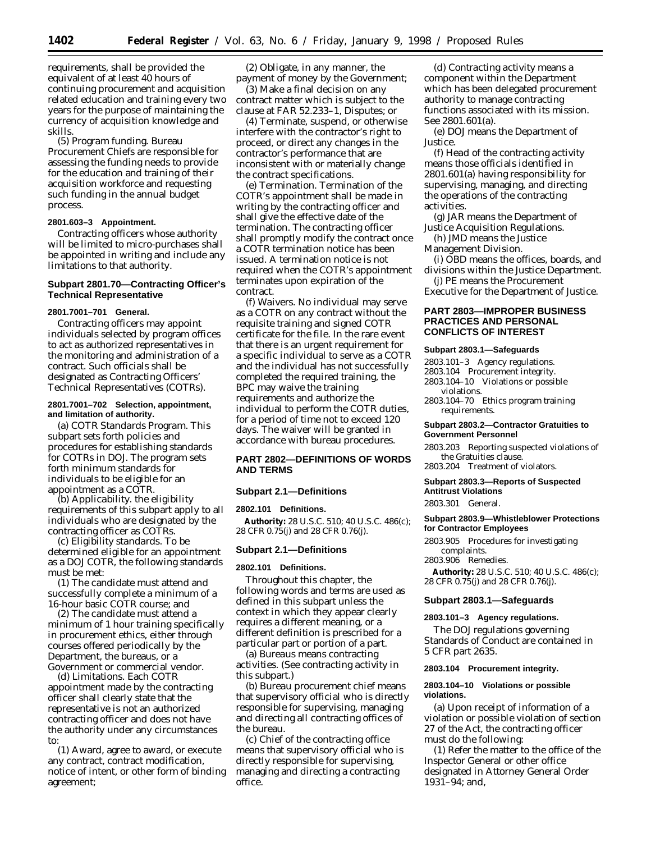requirements, shall be provided the equivalent of at least 40 hours of continuing procurement and acquisition related education and training every two years for the purpose of maintaining the currency of acquisition knowledge and skills.

(5) *Program funding.* Bureau Procurement Chiefs are responsible for assessing the funding needs to provide for the education and training of their acquisition workforce and requesting such funding in the annual budget process.

## **2801.603–3 Appointment.**

Contracting officers whose authority will be limited to micro-purchases shall be appointed in writing and include any limitations to that authority.

## **Subpart 2801.70—Contracting Officer's Technical Representative**

## **2801.7001–701 General.**

Contracting officers may appoint individuals selected by program offices to act as authorized representatives in the monitoring and administration of a contract. Such officials shall be designated as Contracting Officers' Technical Representatives (COTRs).

### **2801.7001–702 Selection, appointment, and limitation of authority.**

(a) *COTR Standards Program.* This subpart sets forth policies and procedures for establishing standards for COTRs in DOJ. The program sets forth minimum standards for individuals to be eligible for an appointment as a COTR.

(b) *Applicability.* the eligibility requirements of this subpart apply to all individuals who are designated by the contracting officer as COTRs.

(c) *Eligibility standards.* To be determined eligible for an appointment as a DOJ COTR, the following standards must be met:

(1) The candidate must attend and successfully complete a minimum of a 16-hour basic COTR course; and

(2) The candidate must attend a minimum of 1 hour training specifically in procurement ethics, either through courses offered periodically by the Department, the bureaus, or a Government or commercial vendor.

(d) *Limitations.* Each COTR appointment made by the contracting officer shall clearly state that the representative is not an authorized contracting officer and does not have the authority under any circumstances to:

(1) Award, agree to award, or execute any contract, contract modification, notice of intent, or other form of binding agreement;

(2) Obligate, in any manner, the payment of money by the Government;

(3) Make a final decision on any contract matter which is subject to the clause at FAR 52.233–1, Disputes; or

(4) Terminate, suspend, or otherwise interfere with the contractor's right to proceed, or direct any changes in the contractor's performance that are inconsistent with or materially change the contract specifications.

(e) *Termination.* Termination of the COTR's appointment shall be made in writing by the contracting officer and shall give the effective date of the termination. The contracting officer shall promptly modify the contract once a COTR termination notice has been issued. A termination notice is not required when the COTR's appointment terminates upon expiration of the contract.

(f) *Waivers.* No individual may serve as a COTR on any contract without the requisite training and signed COTR certificate for the file. In the rare event that there is an urgent requirement for a specific individual to serve as a COTR and the individual has not successfully completed the required training, the BPC may waive the training requirements and authorize the individual to perform the COTR duties, for a period of time not to exceed 120 days. The waiver will be granted in accordance with bureau procedures.

## **PART 2802—DEFINITIONS OF WORDS AND TERMS**

## **Subpart 2.1—Definitions**

#### **2802.101 Definitions.**

**Authority:** 28 U.S.C. 510; 40 U.S.C. 486(c); 28 CFR 0.75(j) and 28 CFR 0.76(j).

### **Subpart 2.1—Definitions**

#### **2802.101 Definitions.**

Throughout this chapter, the following words and terms are used as defined in this subpart unless the context in which they appear clearly requires a different meaning, or a different definition is prescribed for a particular part or portion of a part.

(a) *Bureaus* means contracting activities. (See *contracting activity* in this subpart.)

(b) *Bureau procurement chief* means that supervisory official who is directly responsible for supervising, managing and directing all contracting offices of the bureau.

(c) *Chief of the contracting office* means that supervisory official who is directly responsible for supervising, managing and directing a contracting office.

(d) *Contracting activity* means a component within the Department which has been delegated procurement authority to manage contracting functions associated with its mission. See 2801.601(a).

(e) *DOJ* means the Department of Justice.

(f) *Head of the contracting activity* means those officials identified in 2801.601(a) having responsibility for supervising, managing, and directing the operations of the contracting activities.

(g) *JAR* means the Department of Justice Acquisition Regulations.

(h) *JMD* means the Justice

Management Division.

(i) *OBD* means the offices, boards, and divisions within the Justice Department.

(j) *PE* means the Procurement Executive for the Department of Justice.

## **PART 2803—IMPROPER BUSINESS PRACTICES AND PERSONAL CONFLICTS OF INTEREST**

#### **Subpart 2803.1—Safeguards**

2803.101–3 Agency regulations.

- 2803.104 Procurement integrity.
- 2803.104–10 Violations or possible violations.
- 2803.104–70 Ethics program training requirements.

#### **Subpart 2803.2—Contractor Gratuities to Government Personnel**

2803.203 Reporting suspected violations of the Gratuities clause.

2803.204 Treatment of violators.

#### **Subpart 2803.3—Reports of Suspected Antitrust Violations**

2803.301 General.

## **Subpart 2803.9—Whistleblower Protections for Contractor Employees**

2803.905 Procedures for investigating complaints.

2803.906 Remedies.

**Authority:** 28 U.S.C. 510; 40 U.S.C. 486(c); 28 CFR 0.75(j) and 28 CFR 0.76(j).

## **Subpart 2803.1—Safeguards**

#### **2803.101–3 Agency regulations.**

The DOJ regulations governing Standards of Conduct are contained in 5 CFR part 2635.

#### **2803.104 Procurement integrity.**

## **2803.104–10 Violations or possible violations.**

(a) Upon receipt of information of a violation or possible violation of section 27 of the Act, the contracting officer must do the following:

(1) Refer the matter to the office of the Inspector General or other office designated in Attorney General Order 1931–94; and,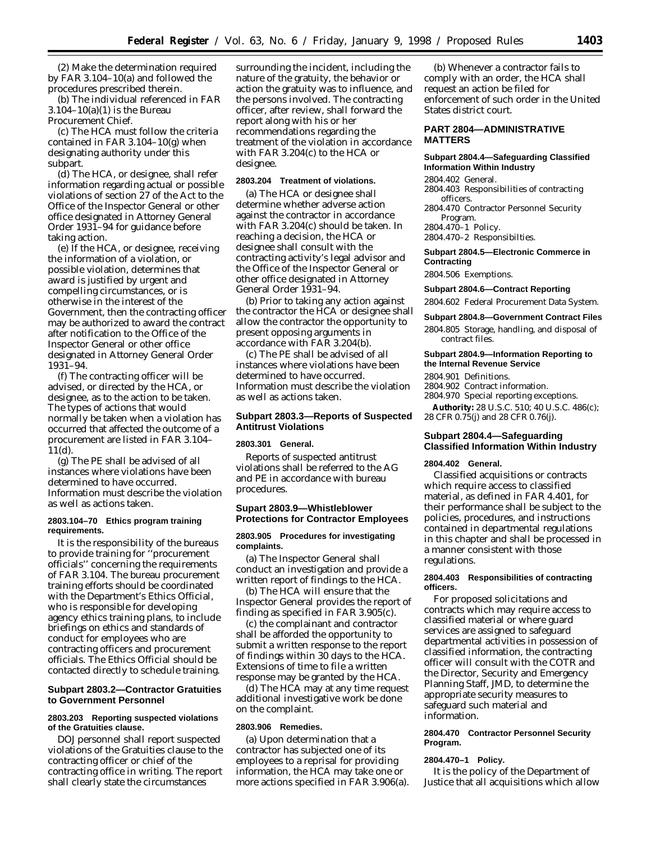(2) Make the determination required by FAR 3.104–10(a) and followed the procedures prescribed therein.

(b) The individual referenced in FAR 3.104–10(a)(1) is the Bureau Procurement Chief.

(c) The HCA must follow the criteria contained in FAR 3.104–10(g) when designating authority under this subpart.

(d) The HCA, or designee, shall refer information regarding actual or possible violations of section 27 of the Act to the Office of the Inspector General or other office designated in Attorney General Order 1931–94 for guidance before taking action.

(e) If the HCA, or designee, receiving the information of a violation, or possible violation, determines that award is justified by urgent and compelling circumstances, or is otherwise in the interest of the Government, then the contracting officer may be authorized to award the contract after notification to the Office of the Inspector General or other office designated in Attorney General Order 1931–94.

(f) The contracting officer will be advised, or directed by the HCA, or designee, as to the action to be taken. The types of actions that would normally be taken when a violation has occurred that affected the outcome of a procurement are listed in FAR 3.104– 11(d).

(g) The PE shall be advised of all instances where violations have been determined to have occurred. Information must describe the violation as well as actions taken.

### **2803.104–70 Ethics program training requirements.**

It is the responsibility of the bureaus to provide training for ''procurement officials'' concerning the requirements of FAR 3.104. The bureau procurement training efforts should be coordinated with the Department's Ethics Official, who is responsible for developing agency ethics training plans, to include briefings on ethics and standards of conduct for employees who are contracting officers and procurement officials. The Ethics Official should be contacted directly to schedule training.

## **Subpart 2803.2—Contractor Gratuities to Government Personnel**

## **2803.203 Reporting suspected violations of the Gratuities clause.**

DOJ personnel shall report suspected violations of the Gratuities clause to the contracting officer or chief of the contracting office in writing. The report shall clearly state the circumstances

surrounding the incident, including the nature of the gratuity, the behavior or action the gratuity was to influence, and the persons involved. The contracting officer, after review, shall forward the report along with his or her recommendations regarding the treatment of the violation in accordance with FAR 3.204(c) to the HCA or designee.

#### **2803.204 Treatment of violations.**

(a) The HCA or designee shall determine whether adverse action against the contractor in accordance with FAR 3.204(c) should be taken. In reaching a decision, the HCA or designee shall consult with the contracting activity's legal advisor and the Office of the Inspector General or other office designated in Attorney General Order 1931–94.

(b) Prior to taking any action against the contractor the HCA or designee shall allow the contractor the opportunity to present opposing arguments in accordance with FAR 3.204(b).

(c) The PE shall be advised of all instances where violations have been determined to have occurred. Information must describe the violation as well as actions taken.

## **Subpart 2803.3—Reports of Suspected Antitrust Violations**

#### **2803.301 General.**

Reports of suspected antitrust violations shall be referred to the AG and PE in accordance with bureau procedures.

## **Supart 2803.9—Whistleblower Protections for Contractor Employees**

## **2803.905 Procedures for investigating complaints.**

(a) The Inspector General shall conduct an investigation and provide a written report of findings to the HCA.

(b) The HCA will ensure that the Inspector General provides the report of finding as specified in FAR 3.905(c).

(c) the complainant and contractor shall be afforded the opportunity to submit a written response to the report of findings within 30 days to the HCA. Extensions of time to file a written response may be granted by the HCA.

(d) The HCA may at any time request additional investigative work be done on the complaint.

#### **2803.906 Remedies.**

(a) Upon determination that a contractor has subjected one of its employees to a reprisal for providing information, the HCA may take one or more actions specified in FAR 3.906(a).

(b) Whenever a contractor fails to comply with an order, the HCA shall request an action be filed for enforcement of such order in the United States district court.

## **PART 2804—ADMINISTRATIVE MATTERS**

### **Subpart 2804.4—Safeguarding Classified Information Within Industry**

2804.402 General.

- 2804.403 Responsibilities of contracting officers.
- 2804.470 Contractor Personnel Security Program. 2804.470–1 Policy.
- 2804.470–2 Responsibilties.

### **Subpart 2804.5—Electronic Commerce in Contracting**

2804.506 Exemptions.

#### **Subpart 2804.6—Contract Reporting**

2804.602 Federal Procurement Data System.

### **Subpart 2804.8—Government Contract Files**

2804.805 Storage, handling, and disposal of contract files.

## **Subpart 2804.9—Information Reporting to the Internal Revenue Service**

2804.901 Definitions.

- 2804.902 Contract information.
- 2804.970 Special reporting exceptions.

**Authority:** 28 U.S.C. 510; 40 U.S.C. 486(c); 28 CFR 0.75(j) and 28 CFR 0.76(j).

## **Subpart 2804.4—Safeguarding Classified Information Within Industry**

#### **2804.402 General.**

Classified acquisitions or contracts which require access to classified material, as defined in FAR 4.401, for their performance shall be subject to the policies, procedures, and instructions contained in departmental regulations in this chapter and shall be processed in a manner consistent with those regulations.

### **2804.403 Responsibilities of contracting officers.**

For proposed solicitations and contracts which may require access to classified material or where guard services are assigned to safeguard departmental activities in possession of classified information, the contracting officer will consult with the COTR and the Director, Security and Emergency Planning Staff, JMD, to determine the appropriate security measures to safeguard such material and information.

## **2804.470 Contractor Personnel Security Program.**

### **2804.470–1 Policy.**

It is the policy of the Department of Justice that all acquisitions which allow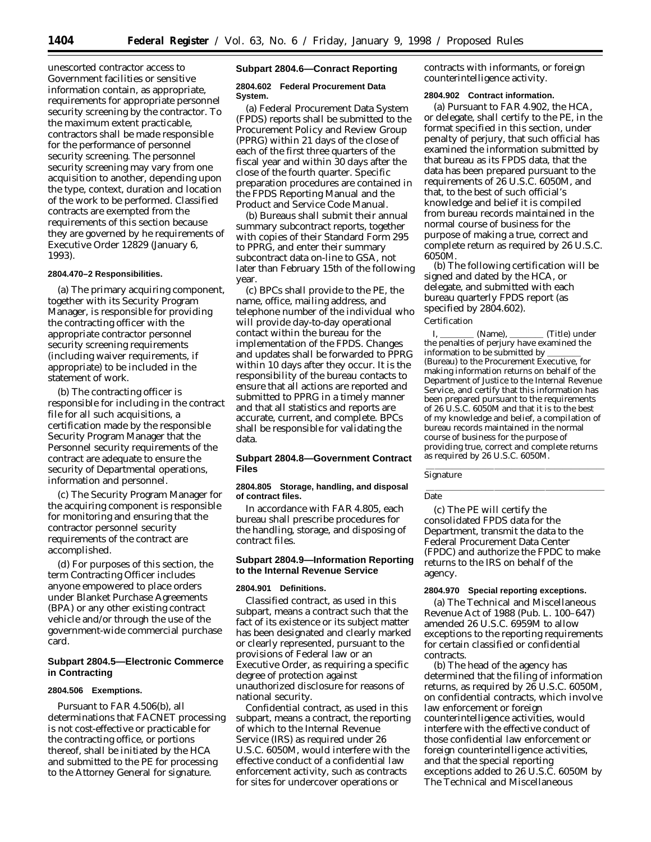unescorted contractor access to Government facilities or sensitive information contain, as appropriate, requirements for appropriate personnel security screening by the contractor. To the maximum extent practicable, contractors shall be made responsible for the performance of personnel security screening. The personnel security screening may vary from one acquisition to another, depending upon the type, context, duration and location of the work to be performed. Classified contracts are exempted from the requirements of this section because they are governed by he requirements of Executive Order 12829 (January 6, 1993).

## **2804.470–2 Responsibilities.**

(a) The primary acquiring component, together with its Security Program Manager, is responsible for providing the contracting officer with the appropriate contractor personnel security screening requirements (including waiver requirements, if appropriate) to be included in the statement of work.

(b) The contracting officer is responsible for including in the contract file for all such acquisitions, a certification made by the responsible Security Program Manager that the Personnel security requirements of the contract are adequate to ensure the security of Departmental operations, information and personnel.

(c) The Security Program Manager for the acquiring component is responsible for monitoring and ensuring that the contractor personnel security requirements of the contract are accomplished.

(d) For purposes of this section, the term Contracting Officer includes anyone empowered to place orders under Blanket Purchase Agreements (BPA) or any other existing contract vehicle and/or through the use of the government-wide commercial purchase card.

## **Subpart 2804.5—Electronic Commerce in Contracting**

## **2804.506 Exemptions.**

Pursuant to FAR 4.506(b), all determinations that FACNET processing is not cost-effective or practicable for the contracting office, or portions thereof, shall be initiated by the HCA and submitted to the PE for processing to the Attorney General for signature.

### **Subpart 2804.6—Conract Reporting**

## **2804.602 Federal Procurement Data System.**

(a) Federal Procurement Data System (FPDS) reports shall be submitted to the Procurement Policy and Review Group (PPRG) within 21 days of the close of each of the first three quarters of the fiscal year and within 30 days after the close of the fourth quarter. Specific preparation procedures are contained in the FPDS Reporting Manual and the Product and Service Code Manual.

(b) Bureaus shall submit their annual summary subcontract reports, together with copies of their Standard Form 295 to PPRG, and enter their summary subcontract data on-line to GSA, not later than February 15th of the following year.

(c) BPCs shall provide to the PE, the name, office, mailing address, and telephone number of the individual who will provide day-to-day operational contact within the bureau for the implementation of the FPDS. Changes and updates shall be forwarded to PPRG within 10 days after they occur. It is the responsibility of the bureau contacts to ensure that all actions are reported and submitted to PPRG in a timely manner and that all statistics and reports are accurate, current, and complete. BPCs shall be responsible for validating the data.

## **Subpart 2804.8—Government Contract Files**

## **2804.805 Storage, handling, and disposal of contract files.**

In accordance with FAR 4.805, each bureau shall prescribe procedures for the handling, storage, and disposing of contract files.

## **Subpart 2804.9—Information Reporting to the Internal Revenue Service**

#### **2804.901 Definitions.**

*Classified contract,* as used in this subpart, means a contract such that the fact of its existence or its subject matter has been designated and clearly marked or clearly represented, pursuant to the provisions of Federal law or an Executive Order, as requiring a specific degree of protection against unauthorized disclosure for reasons of national security.

*Confidential contract,* as used in this subpart, means a contract, the reporting of which to the Internal Revenue Service (IRS) as required under 26 U.S.C. 6050M, would interfere with the effective conduct of a confidential law enforcement activity, such as contracts for sites for undercover operations or

contracts with informants, or foreign counterintelligence activity.

#### **2804.902 Contract information.**

(a) Pursuant to FAR 4.902, the HCA, or delegate, shall certify to the PE, in the format specified in this section, under penalty of perjury, that such official has examined the information submitted by that bureau as its FPDS data, that the data has been prepared pursuant to the requirements of 26 U.S.C. 6050M, and that, to the best of such official's knowledge and belief it is compiled from bureau records maintained in the normal course of business for the purpose of making a true, correct and complete return as required by 26 U.S.C. 6050M.

(b) The following certification will be signed and dated by the HCA, or delegate, and submitted with each bureau quarterly FPDS report (as specified by 2804.602).

#### Certification

(Name), (Title) under the penalties of perjury have examined the information to be submitted by (Bureau) to the Procurement Executive, for making information returns on behalf of the Department of Justice to the Internal Revenue Service, and certify that this information has been prepared pursuant to the requirements of 26 U.S.C. 6050M and that it is to the best of my knowledge and belief, a compilation of bureau records maintained in the normal course of business for the purpose of providing true, correct and complete returns as required by 26 U.S.C. 6050M. lllalla llingua della contra della contra della contra della contra della contra della contra della contra del

Signature

Date

(c) The PE will certify the consolidated FPDS data for the Department, transmit the data to the Federal Procurement Data Center (FPDC) and authorize the FPDC to make returns to the IRS on behalf of the agency.

#### **2804.970 Special reporting exceptions.**

(a) The Technical and Miscellaneous Revenue Act of 1988 (Pub. L. 100–647) amended 26 U.S.C. 6959M to allow exceptions to the reporting requirements for certain classified or confidential contracts.

(b) The head of the agency has determined that the filing of information returns, as required by 26 U.S.C. 6050M, on confidential contracts, which involve law enforcement or foreign counterintelligence activities, would interfere with the effective conduct of those confidential law enforcement or foreign counterintelligence activities, and that the special reporting exceptions added to 26 U.S.C. 6050M by The Technical and Miscellaneous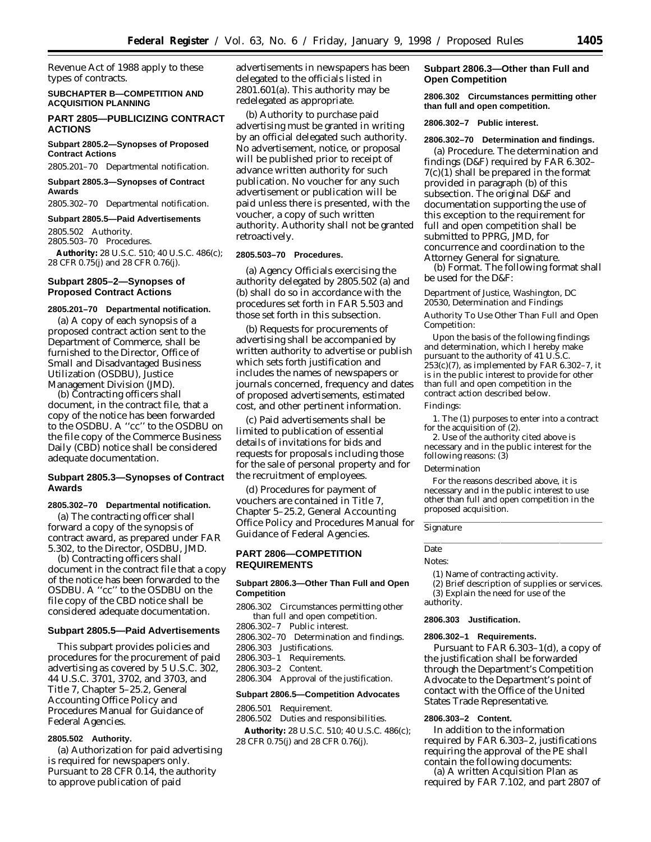Revenue Act of 1988 apply to these types of contracts.

## **SUBCHAPTER B—COMPETITION AND ACQUISITION PLANNING**

## **PART 2805—PUBLICIZING CONTRACT ACTIONS**

**Subpart 2805.2—Synopses of Proposed Contract Actions**

2805.201–70 Departmental notification.

**Subpart 2805.3—Synopses of Contract Awards**

2805.302–70 Departmental notification.

#### **Subpart 2805.5—Paid Advertisements**

2805.502 Authority. 2805.503–70 Procedures.

**Authority:** 28 U.S.C. 510; 40 U.S.C. 486(c); 28 CFR 0.75(j) and 28 CFR 0.76(j).

## **Subpart 2805–2—Synopses of Proposed Contract Actions**

## **2805.201–70 Departmental notification.**

(a) A copy of each synopsis of a proposed contract action sent to the Department of Commerce, shall be furnished to the Director, Office of Small and Disadvantaged Business Utilization (OSDBU), Justice Management Division (JMD).

(b) Contracting officers shall document, in the contract file, that a copy of the notice has been forwarded to the OSDBU. A ''cc'' to the OSDBU on the file copy of the Commerce Business Daily (CBD) notice shall be considered adequate documentation.

### **Subpart 2805.3—Synopses of Contract Awards**

#### **2805.302–70 Departmental notification.**

(a) The contracting officer shall forward a copy of the synopsis of contract award, as prepared under FAR 5.302, to the Director, OSDBU, JMD.

(b) Contracting officers shall document in the contract file that a copy of the notice has been forwarded to the OSDBU. A ''cc'' to the OSDBU on the file copy of the CBD notice shall be considered adequate documentation.

## **Subpart 2805.5—Paid Advertisements**

This subpart provides policies and procedures for the procurement of paid advertising as covered by 5 U.S.C. 302, 44 U.S.C. 3701, 3702, and 3703, and Title 7, Chapter 5–25.2, General Accounting Office Policy and Procedures Manual for Guidance of Federal Agencies.

## **2805.502 Authority.**

(a) Authorization for paid advertising is required for newspapers only. Pursuant to 28 CFR 0.14, the authority to approve publication of paid

advertisements in newspapers has been delegated to the officials listed in 2801.601(a). This authority may be redelegated as appropriate.

(b) Authority to purchase paid advertising must be granted in writing by an official delegated such authority. No advertisement, notice, or proposal will be published prior to receipt of advance written authority for such publication. No voucher for any such advertisement or publication will be paid unless there is presented, with the voucher, a copy of such written authority. Authority shall not be granted retroactively.

#### **2805.503–70 Procedures.**

(a) Agency Officials exercising the authority delegated by 2805.502 (a) and (b) shall do so in accordance with the procedures set forth in FAR 5.503 and those set forth in this subsection.

(b) Requests for procurements of advertising shall be accompanied by written authority to advertise or publish which sets forth justification and includes the names of newspapers or journals concerned, frequency and dates of proposed advertisements, estimated cost, and other pertinent information.

(c) Paid advertisements shall be limited to publication of essential details of invitations for bids and requests for proposals including those for the sale of personal property and for the recruitment of employees.

(d) Procedures for payment of vouchers are contained in Title 7, Chapter 5–25.2, General Accounting Office Policy and Procedures Manual for Guidance of Federal Agencies.

## **PART 2806—COMPETITION REQUIREMENTS**

## **Subpart 2806.3—Other Than Full and Open Competition**

2806.302 Circumstances permitting other than full and open competition.

2806.302–7 Public interest.

2806.302–70 Determination and findings.

2806.303 Justifications.

2806.303–1 Requirements.

2806.303–2 Content.

2806.304 Approval of the justification.

## **Subpart 2806.5—Competition Advocates**

2806.501 Requirement.

2806.502 Duties and responsibilities. **Authority:** 28 U.S.C. 510; 40 U.S.C. 486(c);

28 CFR 0.75(j) and 28 CFR 0.76(j).

## **Subpart 2806.3—Other than Full and Open Competition**

**2806.302 Circumstances permitting other than full and open competition.**

**2806.302–7 Public interest.**

### **2806.302–70 Determination and findings.**

(a) *Procedure.* The determination and findings (D&F) required by FAR 6.302– 7(c)(1) shall be prepared in the format provided in paragraph (b) of this subsection. The original D&F and documentation supporting the use of this exception to the requirement for full and open competition shall be submitted to PPRG, JMD, for concurrence and coordination to the Attorney General for signature.

(b) *Format.* The following format shall be used for the D&F:

## *Department of Justice, Washington, DC 20530, Determination and Findings* Authority To Use Other Than Full and Open Competition:

Upon the basis of the following findings and determination, which I hereby make pursuant to the authority of 41 U.S.C.  $253(c)(7)$ , as implemented by FAR 6.302-7, it is in the public interest to provide for other than full and open competition in the contract action described below. Findings:

1. The (1) purposes to enter into a contract for the acquisition of (2).

2. Use of the authority cited above is necessary and in the public interest for the following reasons: (3)

#### Determination

For the reasons described above, it is necessary and in the public interest to use other than full and open competition in the proposed acquisition.

#### Signature

## Date

Notes:

(1) Name of contracting activity.

(2) Brief description of supplies or services. (3) Explain the need for use of the authority.

#### **2806.303 Justification.**

### **2806.302–1 Requirements.**

Pursuant to FAR 6.303–1(d), a copy of the justification shall be forwarded through the Department's Competition Advocate to the Department's point of contact with the Office of the United States Trade Representative.

## **2806.303–2 Content.**

In addition to the information required by FAR 6.303–2, justifications requiring the approval of the PE shall contain the following documents: (a) A written Acquisition Plan as

required by FAR 7.102, and part 2807 of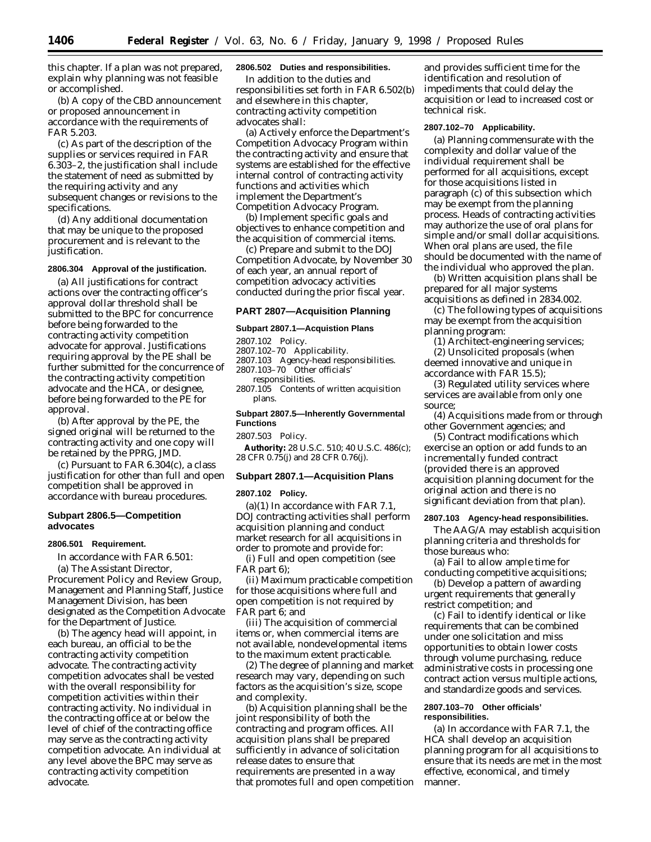this chapter. If a plan was not prepared, explain why planning was not feasible or accomplished.

(b) A copy of the CBD announcement or proposed announcement in accordance with the requirements of FAR 5.203.

(c) As part of the description of the supplies or services required in FAR 6.303–2, the justification shall include the statement of need as submitted by the requiring activity and any subsequent changes or revisions to the specifications.

(d) Any additional documentation that may be unique to the proposed procurement and is relevant to the justification.

## **2806.304 Approval of the justification.**

(a) All justifications for contract actions over the contracting officer's approval dollar threshold shall be submitted to the BPC for concurrence before being forwarded to the contracting activity competition advocate for approval. Justifications requiring approval by the PE shall be further submitted for the concurrence of the contracting activity competition advocate and the HCA, or designee, before being forwarded to the PE for approval.

(b) After approval by the PE, the signed original will be returned to the contracting activity and one copy will be retained by the PPRG, JMD.

(c) Pursuant to FAR 6.304(c), a class justification for other than full and open competition shall be approved in accordance with bureau procedures.

## **Subpart 2806.5—Competition advocates**

#### **2806.501 Requirement.**

In accordance with FAR 6.501:

(a) The Assistant Director, Procurement Policy and Review Group, Management and Planning Staff, Justice Management Division, has been designated as the Competition Advocate for the Department of Justice.

(b) The agency head will appoint, in each bureau, an official to be the contracting activity competition advocate. The contracting activity competition advocates shall be vested with the overall responsibility for competition activities within their contracting activity. No individual in the contracting office at or below the level of chief of the contracting office may serve as the contracting activity competition advocate. An individual at any level above the BPC may serve as contracting activity competition advocate.

## **2806.502 Duties and responsibilities.**

In addition to the duties and responsibilities set forth in FAR 6.502(b) and elsewhere in this chapter, contracting activity competition advocates shall:

(a) Actively enforce the Department's Competition Advocacy Program within the contracting activity and ensure that systems are established for the effective internal control of contracting activity functions and activities which implement the Department's Competition Advocacy Program.

(b) Implement specific goals and objectives to enhance competition and the acquisition of commercial items.

(c) Prepare and submit to the DOJ Competition Advocate, by November 30 of each year, an annual report of competition advocacy activities conducted during the prior fiscal year.

### **PART 2807—Acquisition Planning**

#### **Subpart 2807.1—Acquistion Plans**

2807.102 Policy.

- 2807.102–70 Applicability.
- 2807.103 Agency-head responsibilities. 2807.103–70 Other officials'

responsibilities.

2807.105 Contents of written acquisition plans.

**Subpart 2807.5—Inherently Governmental Functions**

2807.503 Policy.

**Authority:** 28 U.S.C. 510; 40 U.S.C. 486(c); 28 CFR 0.75(j) and 28 CFR 0.76(j).

#### **Subpart 2807.1—Acquisition Plans**

**2807.102 Policy.**

(a)(1) In accordance with FAR 7.1, DOJ contracting activities shall perform acquisition planning and conduct market research for all acquisitions in order to promote and provide for:

(i) Full and open competition (see FAR part 6);

(ii) Maximum practicable competition for those acquisitions where full and open competition is not required by FAR part 6; and

(iii) The acquisition of commercial items or, when commercial items are not available, nondevelopmental items to the maximum extent practicable.

(2) The degree of planning and market research may vary, depending on such factors as the acquisition's size, scope and complexity.

(b) Acquisition planning shall be the joint responsibility of both the contracting and program offices. All acquisition plans shall be prepared sufficiently in advance of solicitation release dates to ensure that requirements are presented in a way that promotes full and open competition

and provides sufficient time for the identification and resolution of impediments that could delay the acquisition or lead to increased cost or technical risk.

#### **2807.102–70 Applicability.**

(a) Planning commensurate with the complexity and dollar value of the individual requirement shall be performed for all acquisitions, except for those acquisitions listed in paragraph (c) of this subsection which may be exempt from the planning process. Heads of contracting activities may authorize the use of oral plans for simple and/or small dollar acquisitions. When oral plans are used, the file should be documented with the name of the individual who approved the plan.

(b) Written acquisition plans shall be prepared for all major systems acquisitions as defined in 2834.002.

(c) The following types of acquisitions may be exempt from the acquisition planning program:

(1) Architect-engineering services; (2) Unsolicited proposals (when deemed innovative and unique in accordance with FAR 15.5);

(3) Regulated utility services where services are available from only one source;

(4) Acquisitions made from or through other Government agencies; and

(5) Contract modifications which exercise an option or add funds to an incrementally funded contract (provided there is an approved acquisition planning document for the original action and there is no significant deviation from that plan).

### **2807.103 Agency-head responsibilities.**

The AAG/A may establish acquisition planning criteria and thresholds for those bureaus who:

(a) Fail to allow ample time for conducting competitive acquisitions;

(b) Develop a pattern of awarding urgent requirements that generally restrict competition; and

(c) Fail to identify identical or like requirements that can be combined under one solicitation and miss opportunities to obtain lower costs through volume purchasing, reduce administrative costs in processing one contract action versus multiple actions, and standardize goods and services.

## **2807.103–70 Other officials' responsibilities.**

(a) In accordance with FAR 7.1, the HCA shall develop an acquisition planning program for all acquisitions to ensure that its needs are met in the most effective, economical, and timely manner.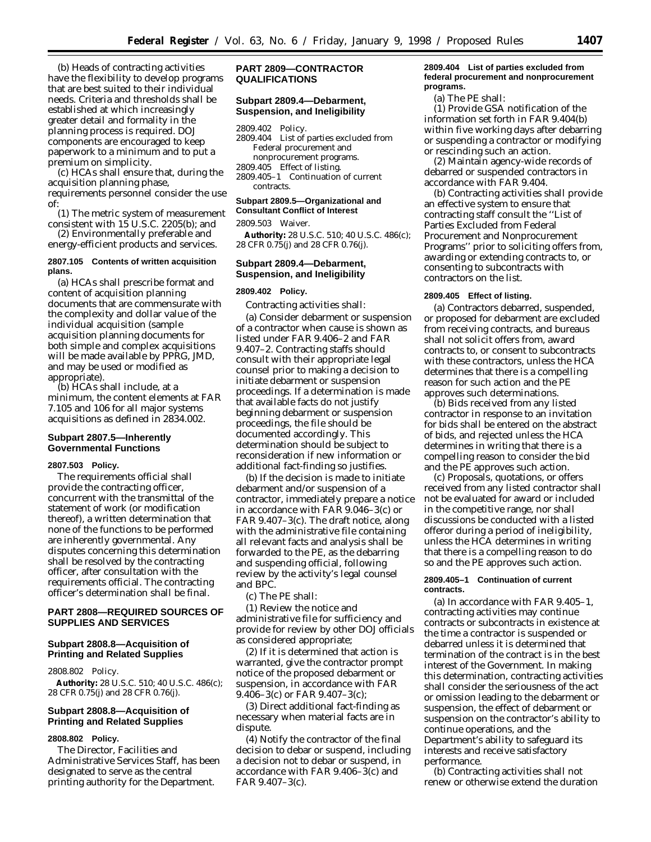(b) Heads of contracting activities have the flexibility to develop programs that are best suited to their individual needs. Criteria and thresholds shall be established at which increasingly greater detail and formality in the planning process is required. DOJ components are encouraged to keep paperwork to a minimum and to put a premium on simplicity.

(c) HCAs shall ensure that, during the acquisition planning phase,

requirements personnel consider the use of:

- (1) The metric system of measurement consistent with 15 U.S.C. 2205(b); and
- (2) Environmentally preferable and energy-efficient products and services.

### **2807.105 Contents of written acquisition plans.**

(a) HCAs shall prescribe format and content of acquisition planning documents that are commensurate with the complexity and dollar value of the individual acquisition (sample acquisition planning documents for both simple and complex acquisitions will be made available by PPRG, JMD, and may be used or modified as appropriate).

(b) HCAs shall include, at a minimum, the content elements at FAR 7.105 and 106 for all major systems acquisitions as defined in 2834.002.

## **Subpart 2807.5—Inherently Governmental Functions**

#### **2807.503 Policy.**

The requirements official shall provide the contracting officer, concurrent with the transmittal of the statement of work (or modification thereof), a written determination that none of the functions to be performed are inherently governmental. Any disputes concerning this determination shall be resolved by the contracting officer, after consultation with the requirements official. The contracting officer's determination shall be final.

## **PART 2808—REQUIRED SOURCES OF SUPPLIES AND SERVICES**

## **Subpart 2808.8—Acquisition of Printing and Related Supplies**

## 2808.802 Policy.

**Authority:** 28 U.S.C. 510; 40 U.S.C. 486(c); 28 CFR 0.75(j) and 28 CFR 0.76(j).

## **Subpart 2808.8—Acquisition of Printing and Related Supplies**

## **2808.802 Policy.**

The Director, Facilities and Administrative Services Staff, has been designated to serve as the central printing authority for the Department.

## **PART 2809—CONTRACTOR QUALIFICATIONS**

## **Subpart 2809.4—Debarment, Suspension, and Ineligibility**

#### 2809.402 Policy.

- 2809.404 List of parties excluded from Federal procurement and nonprocurement programs.
- 2809.405 Effect of listing.
- 2809.405–1 Continuation of current contracts.

#### **Subpart 2809.5—Organizational and Consultant Conflict of Interest**

2809.503 Waiver.

**Authority:** 28 U.S.C. 510; 40 U.S.C. 486(c); 28 CFR 0.75(j) and 28 CFR 0.76(j).

## **Subpart 2809.4—Debarment, Suspension, and Ineligibility**

## **2809.402 Policy.**

Contracting activities shall:

(a) Consider debarment or suspension of a contractor when cause is shown as listed under FAR 9.406–2 and FAR 9.407–2. Contracting staffs should consult with their appropriate legal counsel prior to making a decision to initiate debarment or suspension proceedings. If a determination is made that available facts do not justify beginning debarment or suspension proceedings, the file should be documented accordingly. This determination should be subject to reconsideration if new information or additional fact-finding so justifies.

(b) If the decision is made to initiate debarment and/or suspension of a contractor, immediately prepare a notice in accordance with FAR 9.046–3(c) or FAR 9.407–3(c). The draft notice, along with the administrative file containing all relevant facts and analysis shall be forwarded to the PE, as the debarring and suspending official, following review by the activity's legal counsel and BPC.

(c) The PE shall:

(1) Review the notice and administrative file for sufficiency and provide for review by other DOJ officials as considered appropriate;

(2) If it is determined that action is warranted, give the contractor prompt notice of the proposed debarment or suspension, in accordance with FAR 9.406–3(c) or FAR 9.407–3(c);

(3) Direct additional fact-finding as necessary when material facts are in dispute.

(4) Notify the contractor of the final decision to debar or suspend, including a decision not to debar or suspend, in accordance with FAR 9.406–3(c) and FAR 9.407–3(c).

## **2809.404 List of parties excluded from federal procurement and nonprocurement programs.**

(a) The PE shall:

(1) Provide GSA notification of the information set forth in FAR 9.404(b) within five working days after debarring or suspending a contractor or modifying or rescinding such an action.

(2) Maintain agency-wide records of debarred or suspended contractors in accordance with FAR 9.404.

(b) Contracting activities shall provide an effective system to ensure that contracting staff consult the ''List of Parties Excluded from Federal Procurement and Nonprocurement Programs'' prior to soliciting offers from, awarding or extending contracts to, or consenting to subcontracts with contractors on the list.

## **2809.405 Effect of listing.**

(a) Contractors debarred, suspended, or proposed for debarment are excluded from receiving contracts, and bureaus shall not solicit offers from, award contracts to, or consent to subcontracts with these contractors, unless the HCA determines that there is a compelling reason for such action and the PE approves such determinations.

(b) Bids received from any listed contractor in response to an invitation for bids shall be entered on the abstract of bids, and rejected unless the HCA determines in writing that there is a compelling reason to consider the bid and the PE approves such action.

(c) Proposals, quotations, or offers received from any listed contractor shall not be evaluated for award or included in the competitive range, nor shall discussions be conducted with a listed offeror during a period of ineligibility, unless the HCA determines in writing that there is a compelling reason to do so and the PE approves such action.

#### **2809.405–1 Continuation of current contracts.**

(a) In accordance with FAR 9.405–1, contracting activities may continue contracts or subcontracts in existence at the time a contractor is suspended or debarred unless it is determined that termination of the contract is in the best interest of the Government. In making this determination, contracting activities shall consider the seriousness of the act or omission leading to the debarment or suspension, the effect of debarment or suspension on the contractor's ability to continue operations, and the Department's ability to safeguard its interests and receive satisfactory performance.

(b) Contracting activities shall not renew or otherwise extend the duration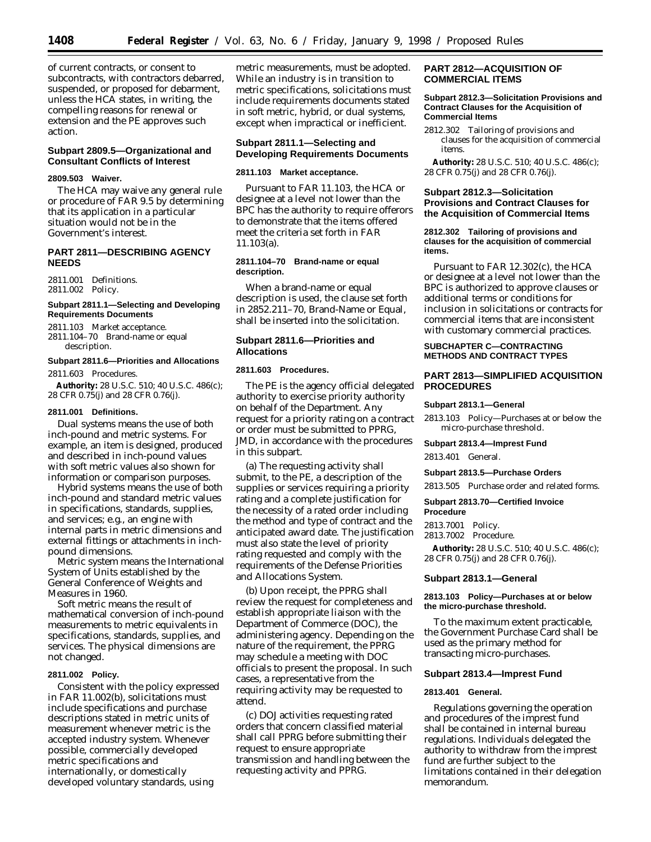of current contracts, or consent to subcontracts, with contractors debarred, suspended, or proposed for debarment, unless the HCA states, in writing, the compelling reasons for renewal or extension and the PE approves such action.

## **Subpart 2809.5—Organizational and Consultant Conflicts of Interest**

#### **2809.503 Waiver.**

The HCA may waive any general rule or procedure of FAR 9.5 by determining that its application in a particular situation would not be in the Government's interest.

## **PART 2811—DESCRIBING AGENCY NEEDS**

2811.001 Definitions. 2811.002 Policy.

## **Subpart 2811.1—Selecting and Developing Requirements Documents**

2811.103 Market acceptance. 2811.104–70 Brand-name or equal description.

### **Subpart 2811.6—Priorities and Allocations**

2811.603 Procedures.

**Authority:** 28 U.S.C. 510; 40 U.S.C. 486(c); 28 CFR 0.75(j) and 28 CFR 0.76(j).

#### **2811.001 Definitions.**

*Dual systems* means the use of both inch-pound and metric systems. For example, an item is designed, produced and described in inch-pound values with soft metric values also shown for information or comparison purposes.

*Hybrid systems* means the use of both inch-pound and standard metric values in specifications, standards, supplies, and services; e.g., an engine with internal parts in metric dimensions and external fittings or attachments in inchpound dimensions.

*Metric system* means the International System of Units established by the General Conference of Weights and Measures in 1960.

*Soft metric* means the result of mathematical conversion of inch-pound measurements to metric equivalents in specifications, standards, supplies, and services. The physical dimensions are not changed.

#### **2811.002 Policy.**

Consistent with the policy expressed in FAR 11.002(b), solicitations must include specifications and purchase descriptions stated in metric units of measurement whenever metric is the accepted industry system. Whenever possible, commercially developed metric specifications and internationally, or domestically developed voluntary standards, using

metric measurements, must be adopted. While an industry is in transition to metric specifications, solicitations must include requirements documents stated in soft metric, hybrid, or dual systems, except when impractical or inefficient.

## **Subpart 2811.1—Selecting and Developing Requirements Documents**

## **2811.103 Market acceptance.**

Pursuant to FAR 11.103, the HCA or designee at a level not lower than the BPC has the authority to require offerors to demonstrate that the items offered meet the criteria set forth in FAR 11.103(a).

## **2811.104–70 Brand-name or equal description.**

When a brand-name or equal description is used, the clause set forth in 2852.211–70, Brand-Name or Equal, shall be inserted into the solicitation.

## **Subpart 2811.6—Priorities and Allocations**

### **2811.603 Procedures.**

The PE is the agency official delegated authority to exercise priority authority on behalf of the Department. Any request for a priority rating on a contract or order must be submitted to PPRG, JMD, in accordance with the procedures in this subpart.

(a) The requesting activity shall submit, to the PE, a description of the supplies or services requiring a priority rating and a complete justification for the necessity of a rated order including the method and type of contract and the anticipated award date. The justification must also state the level of priority rating requested and comply with the requirements of the Defense Priorities and Allocations System.

(b) Upon receipt, the PPRG shall review the request for completeness and establish appropriate liaison with the Department of Commerce (DOC), the administering agency. Depending on the nature of the requirement, the PPRG may schedule a meeting with DOC officials to present the proposal. In such cases, a representative from the requiring activity may be requested to attend.

(c) DOJ activities requesting rated orders that concern classified material shall call PPRG before submitting their request to ensure appropriate transmission and handling between the requesting activity and PPRG.

## **PART 2812—ACQUISITION OF COMMERCIAL ITEMS**

#### **Subpart 2812.3—Solicitation Provisions and Contract Clauses for the Acquisition of Commercial Items**

2812.302 Tailoring of provisions and clauses for the acquisition of commercial items.

**Authority:** 28 U.S.C. 510; 40 U.S.C. 486(c); 28 CFR 0.75(j) and 28 CFR 0.76(j).

## **Subpart 2812.3—Solicitation Provisions and Contract Clauses for the Acquisition of Commercial Items**

#### **2812.302 Tailoring of provisions and clauses for the acquisition of commercial items.**

Pursuant to FAR 12.302(c), the HCA or designee at a level not lower than the BPC is authorized to approve clauses or additional terms or conditions for inclusion in solicitations or contracts for commercial items that are inconsistent with customary commercial practices.

## **SUBCHAPTER C—CONTRACTING METHODS AND CONTRACT TYPES**

## **PART 2813—SIMPLIFIED ACQUISITION PROCEDURES**

### **Subpart 2813.1—General**

2813.103 Policy—Purchases at or below the micro-purchase threshold.

#### **Subpart 2813.4—Imprest Fund**

2813.401 General.

## **Subpart 2813.5—Purchase Orders**

2813.505 Purchase order and related forms.

## **Subpart 2813.70—Certified Invoice Procedure**

- 2813.7001 Policy.
- 2813.7002 Procedure.

**Authority:** 28 U.S.C. 510; 40 U.S.C. 486(c); 28 CFR 0.75(j) and 28 CFR 0.76(j).

## **Subpart 2813.1—General**

## **2813.103 Policy—Purchases at or below the micro-purchase threshold.**

To the maximum extent practicable, the Government Purchase Card shall be used as the primary method for transacting micro-purchases.

## **Subpart 2813.4—Imprest Fund**

#### **2813.401 General.**

Regulations governing the operation and procedures of the imprest fund shall be contained in internal bureau regulations. Individuals delegated the authority to withdraw from the imprest fund are further subject to the limitations contained in their delegation memorandum.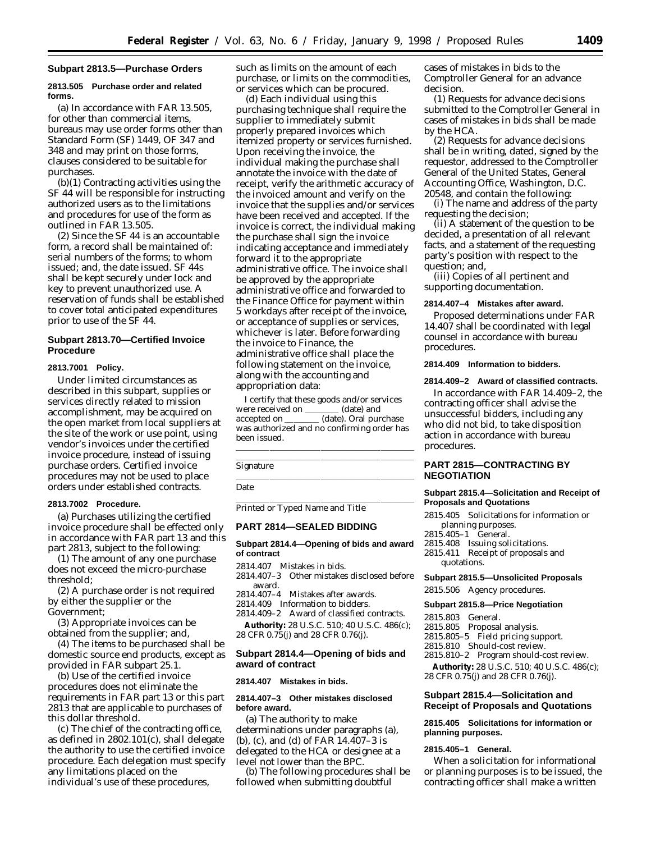### **Subpart 2813.5—Purchase Orders**

### **2813.505 Purchase order and related forms.**

(a) In accordance with FAR 13.505, for other than commercial items, bureaus may use order forms other than Standard Form (SF) 1449, OF 347 and 348 and may print on those forms, clauses considered to be suitable for purchases.

(b)(1) Contracting activities using the SF 44 will be responsible for instructing authorized users as to the limitations and procedures for use of the form as outlined in FAR 13.505.

(2) Since the SF 44 is an accountable form, a record shall be maintained of: serial numbers of the forms; to whom issued; and, the date issued. SF 44s shall be kept securely under lock and key to prevent unauthorized use. A reservation of funds shall be established to cover total anticipated expenditures prior to use of the SF 44.

## **Subpart 2813.70—Certified Invoice Procedure**

## **2813.7001 Policy.**

Under limited circumstances as described in this subpart, supplies or services directly related to mission accomplishment, may be acquired on the open market from local suppliers at the site of the work or use point, using vendor's invoices under the certified invoice procedure, instead of issuing purchase orders. Certified invoice procedures may not be used to place orders under established contracts.

#### **2813.7002 Procedure.**

(a) Purchases utilizing the certified invoice procedure shall be effected only in accordance with FAR part 13 and this part 2813, subject to the following:

(1) The amount of any one purchase does not exceed the micro-purchase threshold;

(2) A purchase order is not required by either the supplier or the Government;

(3) Appropriate invoices can be obtained from the supplier; and,

(4) The items to be purchased shall be domestic source end products, except as provided in FAR subpart 25.1.

(b) Use of the certified invoice procedures does not eliminate the requirements in FAR part 13 or this part 2813 that are applicable to purchases of this dollar threshold.

(c) The chief of the contracting office, as defined in 2802.101(c), shall delegate the authority to use the certified invoice procedure. Each delegation must specify any limitations placed on the individual's use of these procedures,

such as limits on the amount of each purchase, or limits on the commodities, or services which can be procured.

(d) Each individual using this purchasing technique shall require the supplier to immediately submit properly prepared invoices which itemized property or services furnished. Upon receiving the invoice, the individual making the purchase shall annotate the invoice with the date of receipt, verify the arithmetic accuracy of the invoiced amount and verify on the invoice that the supplies and/or services have been received and accepted. If the invoice is correct, the individual making the purchase shall sign the invoice indicating acceptance and immediately forward it to the appropriate administrative office. The invoice shall be approved by the appropriate administrative office and forwarded to the Finance Office for payment within 5 workdays after receipt of the invoice, or acceptance of supplies or services, whichever is later. Before forwarding the invoice to Finance, the administrative office shall place the following statement on the invoice, along with the accounting and appropriation data:

I certify that these goods and/or services were received on \_\_ accepted on \_\_\_\_\_\_\_ (date). Oral purchase was authorized and no confirming order has been issued. lllalla llista se est alla seguente del control de la control de la control de la control de la control de la

Signature

Date

Printed or Typed Name and Title

### **PART 2814—SEALED BIDDING**

## **Subpart 2814.4—Opening of bids and award of contract**

2814.407 Mistakes in bids.

2814.407–3 Other mistakes disclosed before award.

- 2814.407–4 Mistakes after awards.
- 2814.409 Information to bidders.

2814.409–2 Award of classified contracts. **Authority:** 28 U.S.C. 510; 40 U.S.C. 486(c); 28 CFR 0.75(j) and 28 CFR 0.76(j).

## **Subpart 2814.4—Opening of bids and award of contract**

#### **2814.407 Mistakes in bids.**

### **2814.407–3 Other mistakes disclosed before award.**

(a) The authority to make determinations under paragraphs (a), (b), (c), and (d) of FAR 14.407–3 is delegated to the HCA or designee at a level not lower than the BPC.

(b) The following procedures shall be followed when submitting doubtful

cases of mistakes in bids to the Comptroller General for an advance decision.

(1) Requests for advance decisions submitted to the Comptroller General in cases of mistakes in bids shall be made by the HCA.

(2) Requests for advance decisions shall be in writing, dated, signed by the requestor, addressed to the Comptroller General of the United States, General Accounting Office, Washington, D.C. 20548, and contain the following:

(i) The name and address of the party requesting the decision;

(ii) A statement of the question to be decided, a presentation of all relevant facts, and a statement of the requesting party's position with respect to the question; and,

(iii) Copies of all pertinent and supporting documentation.

### **2814.407–4 Mistakes after award.**

Proposed determinations under FAR 14.407 shall be coordinated with legal counsel in accordance with bureau procedures.

### **2814.409 Information to bidders.**

## **2814.409–2 Award of classified contracts.**

In accordance with FAR 14.409–2, the contracting officer shall advise the unsuccessful bidders, including any who did not bid, to take disposition action in accordance with bureau procedures.

## **PART 2815—CONTRACTING BY NEGOTIATION**

#### **Subpart 2815.4—Solicitation and Receipt of Proposals and Quotations**

- 2815.405 Solicitations for information or planning purposes.
- 2815.405–1 General.
- 2815.408 Issuing solicitations.
- 2815.411 Receipt of proposals and quotations.

### **Subpart 2815.5—Unsolicited Proposals**

2815.506 Agency procedures.

#### **Subpart 2815.8—Price Negotiation**

- 2815.803 General.
- 2815.805 Proposal analysis.
- 2815.805–5 Field pricing support.
- 2815.810 Should-cost review.
- 2815.810–2 Program should-cost review.
- **Authority:** 28 U.S.C. 510; 40 U.S.C. 486(c); 28 CFR 0.75(j) and 28 CFR 0.76(j).

## **Subpart 2815.4—Solicitation and Receipt of Proposals and Quotations**

## **2815.405 Solicitations for information or planning purposes.**

## **2815.405–1 General.**

When a solicitation for informational or planning purposes is to be issued, the contracting officer shall make a written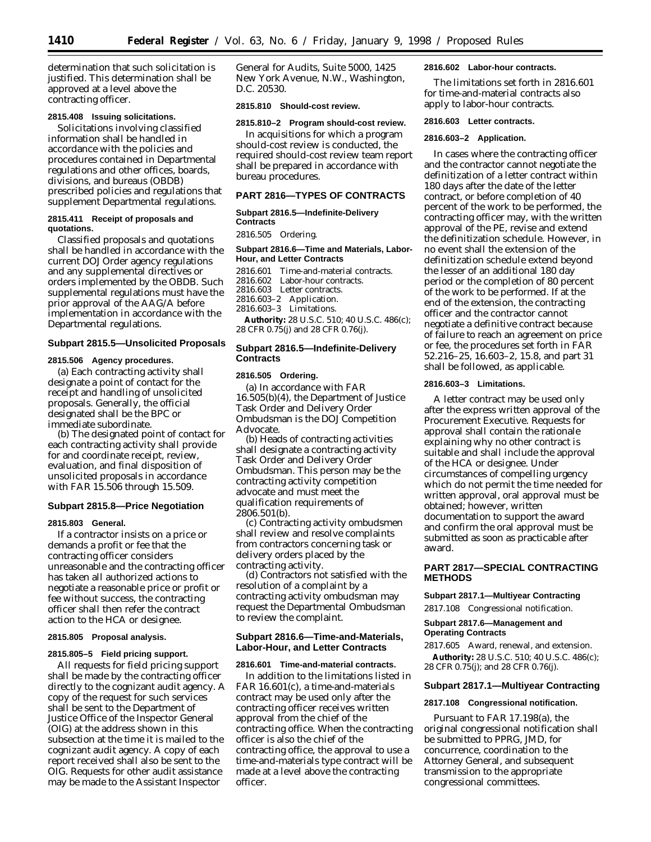determination that such solicitation is justified. This determination shall be approved at a level above the contracting officer.

## **2815.408 Issuing solicitations.**

Solicitations involving classified information shall be handled in accordance with the policies and procedures contained in Departmental regulations and other offices, boards, divisions, and bureaus (OBDB) prescribed policies and regulations that supplement Departmental regulations.

## **2815.411 Receipt of proposals and quotations.**

Classified proposals and quotations shall be handled in accordance with the current DOJ Order agency regulations and any supplemental directives or orders implemented by the OBDB. Such supplemental regulations must have the prior approval of the AAG/A before implementation in accordance with the Departmental regulations.

## **Subpart 2815.5—Unsolicited Proposals**

### **2815.506 Agency procedures.**

(a) Each contracting activity shall designate a point of contact for the receipt and handling of unsolicited proposals. Generally, the official designated shall be the BPC or immediate subordinate.

(b) The designated point of contact for each contracting activity shall provide for and coordinate receipt, review, evaluation, and final disposition of unsolicited proposals in accordance with FAR 15.506 through 15.509.

### **Subpart 2815.8—Price Negotiation**

#### **2815.803 General.**

If a contractor insists on a price or demands a profit or fee that the contracting officer considers unreasonable and the contracting officer has taken all authorized actions to negotiate a reasonable price or profit or fee without success, the contracting officer shall then refer the contract action to the HCA or designee.

### **2815.805 Proposal analysis.**

## **2815.805–5 Field pricing support.**

All requests for field pricing support shall be made by the contracting officer directly to the cognizant audit agency. A copy of the request for such services shall be sent to the Department of Justice Office of the Inspector General (OIG) at the address shown in this subsection at the time it is mailed to the cognizant audit agency. A copy of each report received shall also be sent to the OIG. Requests for other audit assistance may be made to the Assistant Inspector

General for Audits, Suite 5000, 1425 New York Avenue, N.W., Washington, D.C. 20530.

### **2815.810 Should-cost review.**

## **2815.810–2 Program should-cost review.**

In acquisitions for which a program should-cost review is conducted, the required should-cost review team report shall be prepared in accordance with bureau procedures.

## **PART 2816—TYPES OF CONTRACTS**

## **Subpart 2816.5—Indefinite-Delivery Contracts**

2816.505 Ordering.

## **Subpart 2816.6—Time and Materials, Labor-Hour, and Letter Contracts**

2816.601 Time-and-material contracts.<br>2816.602 Labor-hour contracts. Labor-hour contracts. 2816.603 Letter contracts 2816.603–2 Application. 2816.603–3 Limitations. **Authority:** 28 U.S.C. 510; 40 U.S.C. 486(c); 28 CFR 0.75(j) and 28 CFR 0.76(j).

## **Subpart 2816.5—Indefinite-Delivery Contracts**

## **2816.505 Ordering.**

(a) In accordance with FAR 16.505(b)(4), the Department of Justice Task Order and Delivery Order Ombudsman is the DOJ Competition Advocate.

(b) Heads of contracting activities shall designate a contracting activity Task Order and Delivery Order Ombudsman. This person may be the contracting activity competition advocate and must meet the qualification requirements of 2806.501(b).

(c) Contracting activity ombudsmen shall review and resolve complaints from contractors concerning task or delivery orders placed by the contracting activity.

(d) Contractors not satisfied with the resolution of a complaint by a contracting activity ombudsman may request the Departmental Ombudsman to review the complaint.

## **Subpart 2816.6—Time-and-Materials, Labor-Hour, and Letter Contracts**

### **2816.601 Time-and-material contracts.**

In addition to the limitations listed in FAR 16.601(c), a time-and-materials contract may be used only after the contracting officer receives written approval from the chief of the contracting office. When the contracting officer is also the chief of the contracting office, the approval to use a time-and-materials type contract will be made at a level above the contracting officer.

## **2816.602 Labor-hour contracts.**

The limitations set forth in 2816.601 for time-and-material contracts also apply to labor-hour contracts.

#### **2816.603 Letter contracts.**

### **2816.603–2 Application.**

In cases where the contracting officer and the contractor cannot negotiate the definitization of a letter contract within 180 days after the date of the letter contract, or before completion of 40 percent of the work to be performed, the contracting officer may, with the written approval of the PE, revise and extend the definitization schedule. However, in no event shall the extension of the definitization schedule extend beyond the lesser of an additional 180 day period or the completion of 80 percent of the work to be performed. If at the end of the extension, the contracting officer and the contractor cannot negotiate a definitive contract because of failure to reach an agreement on price or fee, the procedures set forth in FAR 52.216–25, 16.603–2, 15.8, and part 31 shall be followed, as applicable.

## **2816.603–3 Limitations.**

A letter contract may be used only after the express written approval of the Procurement Executive. Requests for approval shall contain the rationale explaining why no other contract is suitable and shall include the approval of the HCA or designee. Under circumstances of compelling urgency which do not permit the time needed for written approval, oral approval must be obtained; however, written documentation to support the award and confirm the oral approval must be submitted as soon as practicable after award.

## **PART 2817—SPECIAL CONTRACTING METHODS**

## **Subpart 2817.1—Multiyear Contracting**

2817.108 Congressional notification.

### **Subpart 2817.6—Management and Operating Contracts**

7.605 Award, renewal, and extension. **Authority:** 28 U.S.C. 510; 40 U.S.C. 486(c); 28 CFR 0.75(j); and 28 CFR 0.76(j).

## **Subpart 2817.1—Multiyear Contracting**

### **2817.108 Congressional notification.**

Pursuant to FAR 17.198(a), the original congressional notification shall be submitted to PPRG, JMD, for concurrence, coordination to the Attorney General, and subsequent transmission to the appropriate congressional committees.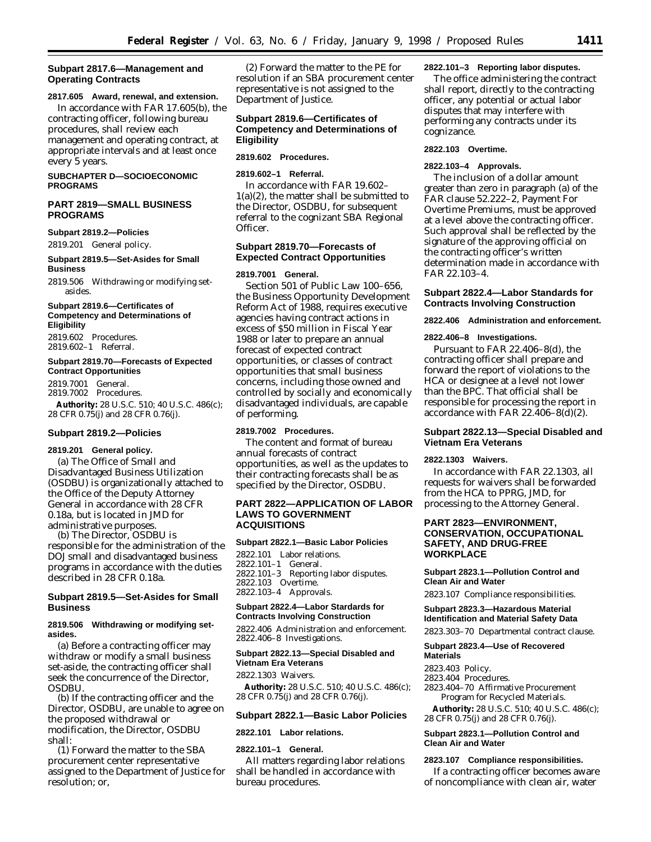## **Subpart 2817.6—Management and Operating Contracts**

## **2817.605 Award, renewal, and extension.** In accordance with FAR 17.605(b), the

contracting officer, following bureau procedures, shall review each management and operating contract, at appropriate intervals and at least once every 5 years.

### **SUBCHAPTER D—SOCIOECONOMIC PROGRAMS**

## **PART 2819—SMALL BUSINESS PROGRAMS**

### **Subpart 2819.2—Policies**

2819.201 General policy.

## **Subpart 2819.5—Set-Asides for Small Business**

2819.506 Withdrawing or modifying setasides.

## **Subpart 2819.6—Certificates of Competency and Determinations of Eligibility**

2819.602 Procedures. 2819.602–1 Referral.

### **Subpart 2819.70—Forecasts of Expected Contract Opportunities**

2819.7001 General. 2819.7002 Procedures. **Authority:** 28 U.S.C. 510; 40 U.S.C. 486(c); 28 CFR 0.75(j) and 28 CFR 0.76(j).

## **Subpart 2819.2—Policies**

## **2819.201 General policy.** (a) The Office of Small and Disadvantaged Business Utilization (OSDBU) is organizationally attached to the Office of the Deputy Attorney General in accordance with 28 CFR 0.18a, but is located in JMD for administrative purposes.

(b) The Director, OSDBU is responsible for the administration of the DOJ small and disadvantaged business programs in accordance with the duties described in 28 CFR 0.18a.

## **Subpart 2819.5—Set-Asides for Small Business**

## **2819.506 Withdrawing or modifying setasides.**

(a) Before a contracting officer may withdraw or modify a small business set-aside, the contracting officer shall seek the concurrence of the Director, **OSDBU** 

(b) If the contracting officer and the Director, OSDBU, are unable to agree on the proposed withdrawal or modification, the Director, OSDBU shall:

(1) Forward the matter to the SBA procurement center representative assigned to the Department of Justice for resolution; or,

(2) Forward the matter to the PE for resolution if an SBA procurement center representative is not assigned to the Department of Justice.

## **Subpart 2819.6—Certificates of Competency and Determinations of Eligibility**

## **2819.602 Procedures.**

## **2819.602–1 Referral.**

In accordance with FAR 19.602– 1(a)(2), the matter shall be submitted to the Director, OSDBU, for subsequent referral to the cognizant SBA Regional Officer.

## **Subpart 2819.70—Forecasts of Expected Contract Opportunities**

### **2819.7001 General.**

Section 501 of Public Law 100–656, the Business Opportunity Development Reform Act of 1988, requires executive agencies having contract actions in excess of \$50 million in Fiscal Year 1988 or later to prepare an annual forecast of expected contract opportunities, or classes of contract opportunities that small business concerns, including those owned and controlled by socially and economically disadvantaged individuals, are capable of performing.

## **2819.7002 Procedures.**

The content and format of bureau annual forecasts of contract opportunities, as well as the updates to their contracting forecasts shall be as specified by the Director, OSDBU.

## **PART 2822—APPLICATION OF LABOR LAWS TO GOVERNMENT ACQUISITIONS**

## **Subpart 2822.1—Basic Labor Policies**

2822.101 Labor relations. 2822.101–1 General. 2822.101–3 Reporting labor disputes. 2822.103 Overtime. 2822.103–4 Approvals.

## **Subpart 2822.4—Labor Stardards for Contracts Involving Construction**

2822.406 Administration and enforcement. 2822.406–8 Investigations.

### **Subpart 2822.13—Special Disabled and Vietnam Era Veterans**

2822.1303 Waivers.

**Authority:** 28 U.S.C. 510; 40 U.S.C. 486(c); 28 CFR 0.75(j) and 28 CFR 0.76(j).

#### **Subpart 2822.1—Basic Labor Policies**

### **2822.101 Labor relations.**

#### **2822.101–1 General.**

All matters regarding labor relations shall be handled in accordance with bureau procedures.

#### **2822.101–3 Reporting labor disputes.**

The office administering the contract shall report, directly to the contracting officer, any potential or actual labor disputes that may interfere with performing any contracts under its cognizance.

## **2822.103 Overtime.**

## **2822.103–4 Approvals.**

The inclusion of a dollar amount greater than zero in paragraph (a) of the FAR clause 52.222–2, Payment For Overtime Premiums, must be approved at a level above the contracting officer. Such approval shall be reflected by the signature of the approving official on the contracting officer's written determination made in accordance with FAR 22.103–4.

## **Subpart 2822.4—Labor Standards for Contracts Involving Construction**

## **2822.406 Administration and enforcement.**

## **2822.406–8 Investigations.**

Pursuant to FAR 22.406–8(d), the contracting officer shall prepare and forward the report of violations to the HCA or designee at a level not lower than the BPC. That official shall be responsible for processing the report in accordance with FAR 22.406–8(d)(2).

## **Subpart 2822.13—Special Disabled and Vietnam Era Veterans**

### **2822.1303 Waivers.**

In accordance with FAR 22.1303, all requests for waivers shall be forwarded from the HCA to PPRG, JMD, for processing to the Attorney General.

## **PART 2823—ENVIRONMENT, CONSERVATION, OCCUPATIONAL SAFETY, AND DRUG-FREE WORKPLACE**

### **Subpart 2823.1—Pollution Control and Clean Air and Water**

2823.107 Compliance responsibilities.

## **Subpart 2823.3—Hazardous Material Identification and Material Safety Data**

2823.303–70 Departmental contract clause.

#### **Subpart 2823.4—Use of Recovered Materials**

- 2823.403 Policy.
- 2823.404 Procedures.
- 2823.404–70 Affirmative Procurement Program for Recycled Materials.

**Authority:** 28 U.S.C. 510; 40 U.S.C. 486(c); 28 CFR 0.75(j) and 28 CFR 0.76(j).

## **Subpart 2823.1—Pollution Control and Clean Air and Water**

## **2823.107 Compliance responsibilities.**

If a contracting officer becomes aware of noncompliance with clean air, water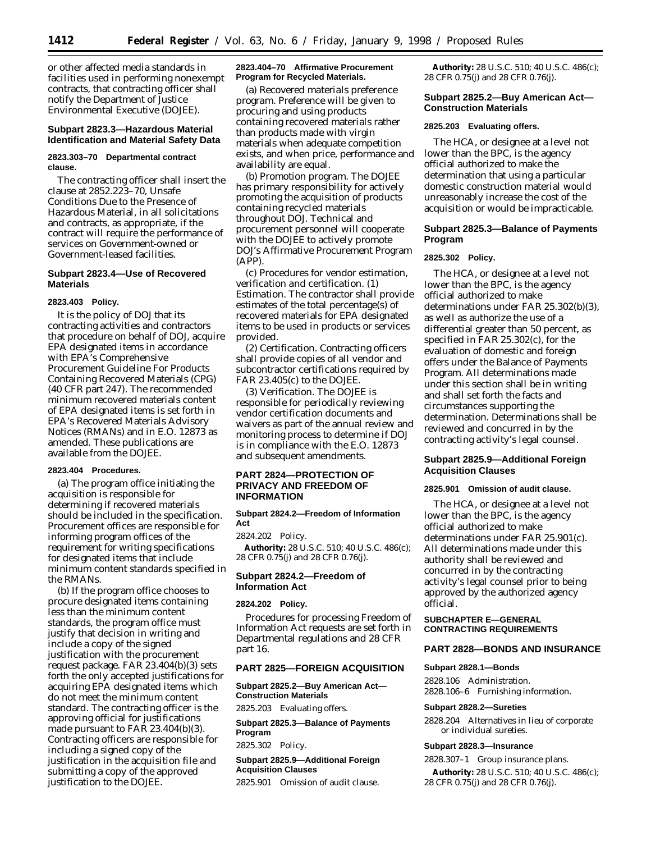or other affected media standards in facilities used in performing nonexempt contracts, that contracting officer shall notify the Department of Justice Environmental Executive (DOJEE).

## **Subpart 2823.3—Hazardous Material Identification and Material Safety Data**

## **2823.303–70 Departmental contract clause.**

The contracting officer shall insert the clause at 2852.223–70, Unsafe Conditions Due to the Presence of Hazardous Material, in all solicitations and contracts, as appropriate, if the contract will require the performance of services on Government-owned or Government-leased facilities.

## **Subpart 2823.4—Use of Recovered Materials**

#### **2823.403 Policy.**

It is the policy of DOJ that its contracting activities and contractors that procedure on behalf of DOJ, acquire EPA designated items in accordance with EPA's Comprehensive Procurement Guideline For Products Containing Recovered Materials (CPG) (40 CFR part 247). The recommended minimum recovered materials content of EPA designated items is set forth in EPA's Recovered Materials Advisory Notices (RMANs) and in E.O. 12873 as amended. These publications are available from the DOJEE.

#### **2823.404 Procedures.**

(a) The program office initiating the acquisition is responsible for determining if recovered materials should be included in the specification. Procurement offices are responsible for informing program offices of the requirement for writing specifications for designated items that include minimum content standards specified in the RMANs.

(b) If the program office chooses to procure designated items containing less than the minimum content standards, the program office must justify that decision in writing and include a copy of the signed justification with the procurement request package. FAR 23.404(b)(3) sets forth the only accepted justifications for acquiring EPA designated items which do not meet the minimum content standard. The contracting officer is the approving official for justifications made pursuant to FAR 23.404(b)(3). Contracting officers are responsible for including a signed copy of the justification in the acquisition file and submitting a copy of the approved justification to the DOJEE.

## **2823.404–70 Affirmative Procurement Program for Recycled Materials.**

(a) *Recovered materials preference program.* Preference will be given to procuring and using products containing recovered materials rather than products made with virgin materials when adequate competition exists, and when price, performance and availability are equal.

(b) *Promotion program.* The DOJEE has primary responsibility for actively promoting the acquisition of products containing recycled materials throughout DOJ. Technical and procurement personnel will cooperate with the DOJEE to actively promote DOJ's Affirmative Procurement Program (APP).

(c) *Procedures for vendor estimation, verification and certification.* (1) *Estimation.* The contractor shall provide estimates of the total percentage(s) of recovered materials for EPA designated items to be used in products or services provided.

(2) *Certification.* Contracting officers shall provide copies of all vendor and subcontractor certifications required by FAR 23.405(c) to the DOJEE.

(3) *Verification.* The DOJEE is responsible for periodically reviewing vendor certification documents and waivers as part of the annual review and monitoring process to determine if DOJ is in compliance with the E.O. 12873 and subsequent amendments.

## **PART 2824—PROTECTION OF PRIVACY AND FREEDOM OF INFORMATION**

#### **Subpart 2824.2—Freedom of Information Act**

2824.202 Policy.

**Authority:** 28 U.S.C. 510; 40 U.S.C. 486(c); 28 CFR 0.75(j) and 28 CFR 0.76(j).

## **Subpart 2824.2—Freedom of Information Act**

### **2824.202 Policy.**

Procedures for processing Freedom of Information Act requests are set forth in Departmental regulations and 28 CFR part 16.

### **PART 2825—FOREIGN ACQUISITION**

## **Subpart 2825.2—Buy American Act— Construction Materials**

2825.203 Evaluating offers.

**Subpart 2825.3—Balance of Payments Program**

2825.302 Policy.

## **Subpart 2825.9—Additional Foreign Acquisition Clauses**

2825.901 Omission of audit clause.

**Authority:** 28 U.S.C. 510; 40 U.S.C. 486(c); 28 CFR 0.75(j) and 28 CFR 0.76(j).

## **Subpart 2825.2—Buy American Act— Construction Materials**

#### **2825.203 Evaluating offers.**

The HCA, or designee at a level not lower than the BPC, is the agency official authorized to make the determination that using a particular domestic construction material would unreasonably increase the cost of the acquisition or would be impracticable.

## **Subpart 2825.3—Balance of Payments Program**

## **2825.302 Policy.**

The HCA, or designee at a level not lower than the BPC, is the agency official authorized to make determinations under FAR 25.302(b)(3), as well as authorize the use of a differential greater than 50 percent, as specified in FAR 25.302(c), for the evaluation of domestic and foreign offers under the Balance of Payments Program. All determinations made under this section shall be in writing and shall set forth the facts and circumstances supporting the determination. Determinations shall be reviewed and concurred in by the contracting activity's legal counsel.

## **Subpart 2825.9—Additional Foreign Acquisition Clauses**

## **2825.901 Omission of audit clause.**

The HCA, or designee at a level not lower than the BPC, is the agency official authorized to make determinations under FAR 25.901(c). All determinations made under this authority shall be reviewed and concurred in by the contracting activity's legal counsel prior to being approved by the authorized agency official.

### **SUBCHAPTER E—GENERAL CONTRACTING REQUIREMENTS**

## **PART 2828—BONDS AND INSURANCE**

## **Subpart 2828.1—Bonds**

2828.106 Administration. 2828.106–6 Furnishing information.

#### **Subpart 2828.2—Sureties**

2828.204 Alternatives in lieu of corporate or individual sureties.

#### **Subpart 2828.3—Insurance**

2828.307–1 Group insurance plans.

**Authority:** 28 U.S.C. 510; 40 U.S.C. 486(c); 28 CFR 0.75(j) and 28 CFR 0.76(j).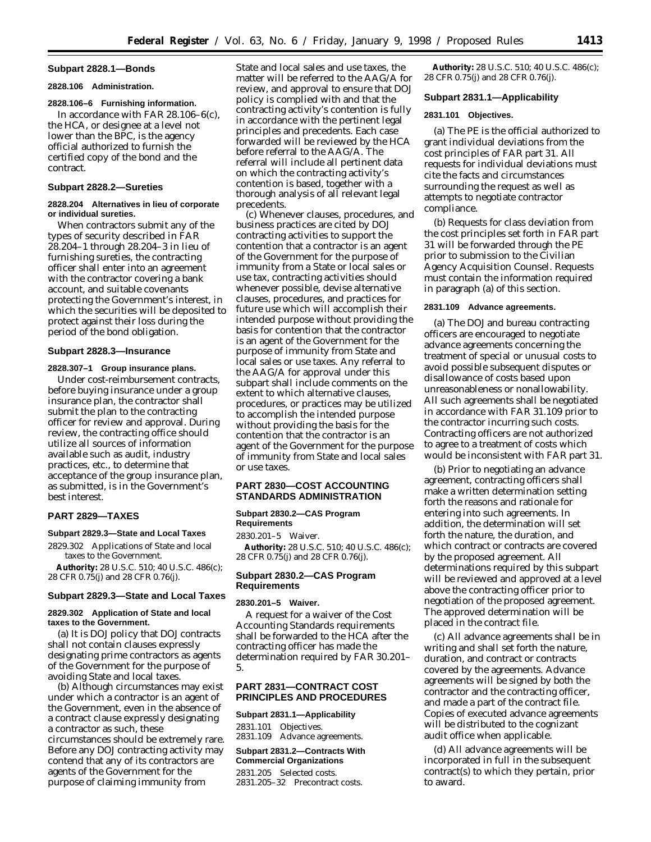### **Subpart 2828.1—Bonds**

#### **2828.106 Administration.**

## **2828.106–6 Furnishing information.**

In accordance with FAR 28.106–6(c), the HCA, or designee at a level not lower than the BPC, is the agency official authorized to furnish the certified copy of the bond and the contract.

### **Subpart 2828.2—Sureties**

## **2828.204 Alternatives in lieu of corporate or individual sureties.**

When contractors submit any of the types of security described in FAR 28.204–1 through 28.204–3 in lieu of furnishing sureties, the contracting officer shall enter into an agreement with the contractor covering a bank account, and suitable covenants protecting the Government's interest, in which the securities will be deposited to protect against their loss during the period of the bond obligation.

## **Subpart 2828.3—Insurance**

### **2828.307–1 Group insurance plans.**

Under cost-reimbursement contracts, before buying insurance under a group insurance plan, the contractor shall submit the plan to the contracting officer for review and approval. During review, the contracting office should utilize all sources of information available such as audit, industry practices, etc., to determine that acceptance of the group insurance plan, as submitted, is in the Government's best interest.

## **PART 2829—TAXES**

### **Subpart 2829.3—State and Local Taxes**

2829.302 Applications of State and local taxes to the Government.

**Authority:** 28 U.S.C. 510; 40 U.S.C. 486(c); 28 CFR 0.75(j) and 28 CFR 0.76(j).

## **Subpart 2829.3—State and Local Taxes**

## **2829.302 Application of State and local taxes to the Government.**

(a) It is DOJ policy that DOJ contracts shall not contain clauses expressly designating prime contractors as agents of the Government for the purpose of avoiding State and local taxes.

(b) Although circumstances may exist under which a contractor is an agent of the Government, even in the absence of a contract clause expressly designating a contractor as such, these circumstances should be extremely rare. Before any DOJ contracting activity may contend that any of its contractors are agents of the Government for the purpose of claiming immunity from

State and local sales and use taxes, the matter will be referred to the AAG/A for review, and approval to ensure that DOJ policy is complied with and that the contracting activity's contention is fully in accordance with the pertinent legal principles and precedents. Each case forwarded will be reviewed by the HCA before referral to the AAG/A. The referral will include all pertinent data on which the contracting activity's contention is based, together with a thorough analysis of all relevant legal precedents.

(c) Whenever clauses, procedures, and business practices are cited by DOJ contracting activities to support the contention that a contractor is an agent of the Government for the purpose of immunity from a State or local sales or use tax, contracting activities should whenever possible, devise alternative clauses, procedures, and practices for future use which will accomplish their intended purpose without providing the basis for contention that the contractor is an agent of the Government for the purpose of immunity from State and local sales or use taxes. Any referral to the AAG/A for approval under this subpart shall include comments on the extent to which alternative clauses, procedures, or practices may be utilized to accomplish the intended purpose without providing the basis for the contention that the contractor is an agent of the Government for the purpose of immunity from State and local sales or use taxes.

## **PART 2830—COST ACCOUNTING STANDARDS ADMINISTRATION**

### **Subpart 2830.2—CAS Program Requirements**

2830.201–5 Waiver.

**Authority:** 28 U.S.C. 510; 40 U.S.C. 486(c); 28 CFR 0.75(j) and 28 CFR 0.76(j).

## **Subpart 2830.2—CAS Program Requirements**

## **2830.201–5 Waiver.**

A request for a waiver of the Cost Accounting Standards requirements shall be forwarded to the HCA after the contracting officer has made the determination required by FAR 30.201– 5.

## **PART 2831—CONTRACT COST PRINCIPLES AND PROCEDURES**

#### **Subpart 2831.1—Applicability**

2831.101 Objectives. 2831.109 Advance agreements.

## **Subpart 2831.2—Contracts With Commercial Organizations**

2831.205 Selected costs. 2831.205–32 Precontract costs.

**Authority:** 28 U.S.C. 510; 40 U.S.C. 486(c); 28 CFR 0.75(j) and 28 CFR 0.76(j).

## **Subpart 2831.1—Applicability**

## **2831.101 Objectives.**

(a) The PE is the official authorized to grant individual deviations from the cost principles of FAR part 31. All requests for individual deviations must cite the facts and circumstances surrounding the request as well as attempts to negotiate contractor compliance.

(b) Requests for class deviation from the cost principles set forth in FAR part 31 will be forwarded through the PE prior to submission to the Civilian Agency Acquisition Counsel. Requests must contain the information required in paragraph (a) of this section.

#### **2831.109 Advance agreements.**

(a) The DOJ and bureau contracting officers are encouraged to negotiate advance agreements concerning the treatment of special or unusual costs to avoid possible subsequent disputes or disallowance of costs based upon unreasonableness or nonallowability. All such agreements shall be negotiated in accordance with FAR 31.109 prior to the contractor incurring such costs. Contracting officers are not authorized to agree to a treatment of costs which would be inconsistent with FAR part 31.

(b) Prior to negotiating an advance agreement, contracting officers shall make a written determination setting forth the reasons and rationale for entering into such agreements. In addition, the determination will set forth the nature, the duration, and which contract or contracts are covered by the proposed agreement. All determinations required by this subpart will be reviewed and approved at a level above the contracting officer prior to negotiation of the proposed agreement. The approved determination will be placed in the contract file.

(c) All advance agreements shall be in writing and shall set forth the nature, duration, and contract or contracts covered by the agreements. Advance agreements will be signed by both the contractor and the contracting officer, and made a part of the contract file. Copies of executed advance agreements will be distributed to the cognizant audit office when applicable.

(d) All advance agreements will be incorporated in full in the subsequent contract(s) to which they pertain, prior to award.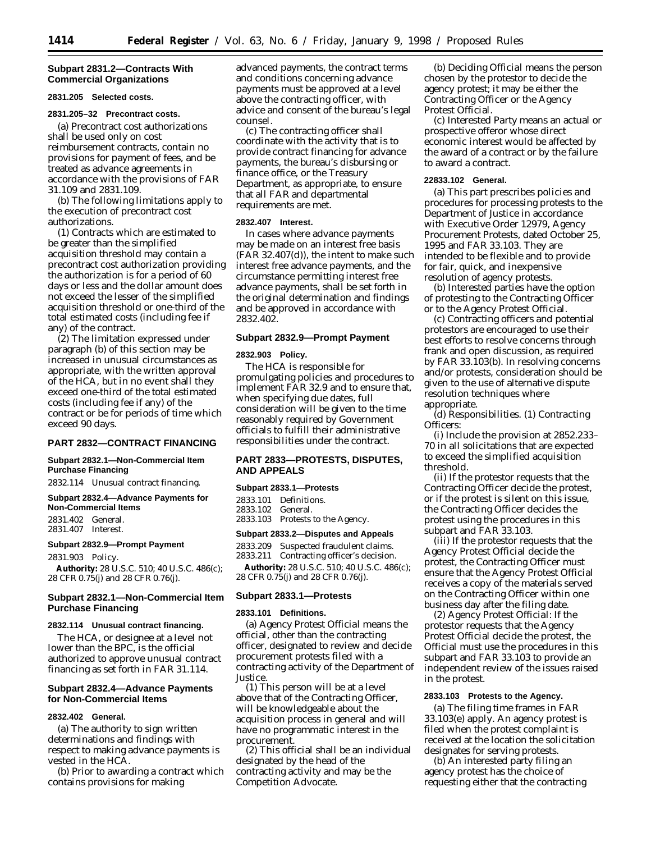## **Subpart 2831.2—Contracts With Commercial Organizations**

#### **2831.205 Selected costs.**

#### **2831.205–32 Precontract costs.**

(a) Precontract cost authorizations shall be used only on cost reimbursement contracts, contain no provisions for payment of fees, and be treated as advance agreements in accordance with the provisions of FAR 31.109 and 2831.109.

(b) The following limitations apply to the execution of precontract cost authorizations.

(1) Contracts which are estimated to be greater than the simplified acquisition threshold may contain a precontract cost authorization providing the authorization is for a period of 60 days or less and the dollar amount does not exceed the lesser of the simplified acquisition threshold or one-third of the total estimated costs (including fee if any) of the contract.

(2) The limitation expressed under paragraph (b) of this section may be increased in unusual circumstances as appropriate, with the written approval of the HCA, but in no event shall they exceed one-third of the total estimated costs (including fee if any) of the contract or be for periods of time which exceed 90 days.

## **PART 2832—CONTRACT FINANCING**

## **Subpart 2832.1—Non-Commercial Item Purchase Financing**

2832.114 Unusual contract financing.

#### **Subpart 2832.4—Advance Payments for Non-Commercial Items**

2831.402 General. 2831.407 Interest.

## **Subpart 2832.9—Prompt Payment**

2831.903 Policy.

**Authority:** 28 U.S.C. 510; 40 U.S.C. 486(c); 28 CFR 0.75(j) and 28 CFR 0.76(j).

## **Subpart 2832.1—Non-Commercial Item Purchase Financing**

#### **2832.114 Unusual contract financing.**

The HCA, or designee at a level not lower than the BPC, is the official authorized to approve unusual contract financing as set forth in FAR 31.114.

## **Subpart 2832.4—Advance Payments for Non-Commercial Items**

### **2832.402 General.**

(a) The authority to sign written determinations and findings with respect to making advance payments is vested in the HCA.

(b) Prior to awarding a contract which contains provisions for making

advanced payments, the contract terms and conditions concerning advance payments must be approved at a level above the contracting officer, with advice and consent of the bureau's legal counsel.

(c) The contracting officer shall coordinate with the activity that is to provide contract financing for advance payments, the bureau's disbursing or finance office, or the Treasury Department, as appropriate, to ensure that all FAR and departmental requirements are met.

## **2832.407 Interest.**

In cases where advance payments may be made on an interest free basis (FAR 32.407(d)), the intent to make such interest free advance payments, and the circumstance permitting interest free advance payments, shall be set forth in the original determination and findings and be approved in accordance with 2832.402.

## **Subpart 2832.9—Prompt Payment**

## **2832.903 Policy.**

The HCA is responsible for promulgating policies and procedures to implement FAR 32.9 and to ensure that, when specifying due dates, full consideration will be given to the time reasonably required by Government officials to fulfill their administrative responsibilities under the contract.

## **PART 2833—PROTESTS, DISPUTES, AND APPEALS**

#### **Subpart 2833.1—Protests**

2833.101 Definitions. 2833.102 General. 2833.103 Protests to the Agency.

**Subpart 2833.2—Disputes and Appeals**

2833.209 Suspected fraudulent claims. 2833.211 Contracting officer's decision.

**Authority:** 28 U.S.C. 510; 40 U.S.C. 486(c); 28 CFR 0.75(j) and 28 CFR 0.76(j).

# **Subpart 2833.1—Protests**

## **2833.101 Definitions.**

(a) *Agency Protest Official* means the official, other than the contracting officer, designated to review and decide procurement protests filed with a contracting activity of the Department of Justice.

(1) This person will be at a level above that of the Contracting Officer, will be knowledgeable about the acquisition process in general and will have no programmatic interest in the procurement.

(2) This official shall be an individual designated by the head of the contracting activity and may be the Competition Advocate.

(b) *Deciding Official* means the person chosen by the protestor to decide the agency protest; it may be either the Contracting Officer or the Agency Protest Official.

(c) *Interested Party* means an actual or prospective offeror whose direct economic interest would be affected by the award of a contract or by the failure to award a contract.

## **22833.102 General.**

(a) This part prescribes policies and procedures for processing protests to the Department of Justice in accordance with Executive Order 12979, Agency Procurement Protests, dated October 25, 1995 and FAR 33.103. They are intended to be flexible and to provide for fair, quick, and inexpensive resolution of agency protests.

(b) Interested parties have the option of protesting to the Contracting Officer or to the Agency Protest Official.

(c) Contracting officers and potential protestors are encouraged to use their best efforts to resolve concerns through frank and open discussion, as required by FAR 33.103(b). In resolving concerns and/or protests, consideration should be given to the use of alternative dispute resolution techniques where appropriate.

(d) Responsibilities. (1) *Contracting Officers:*

(i) Include the provision at 2852.233– 70 in all solicitations that are expected to exceed the simplified acquisition threshold.

(ii) If the protestor requests that the Contracting Officer decide the protest, or if the protest is silent on this issue, the Contracting Officer decides the protest using the procedures in this subpart and FAR 33.103.

(iii) If the protestor requests that the Agency Protest Official decide the protest, the Contracting Officer must ensure that the Agency Protest Official receives a copy of the materials served on the Contracting Officer within one business day after the filing date.

(2) *Agency Protest Official:* If the protestor requests that the Agency Protest Official decide the protest, the Official must use the procedures in this subpart and FAR 33.103 to provide an independent review of the issues raised in the protest.

## **2833.103 Protests to the Agency.**

(a) The filing time frames in FAR 33.103(e) apply. An agency protest is filed when the protest complaint is received at the location the solicitation designates for serving protests.

(b) An interested party filing an agency protest has the choice of requesting either that the contracting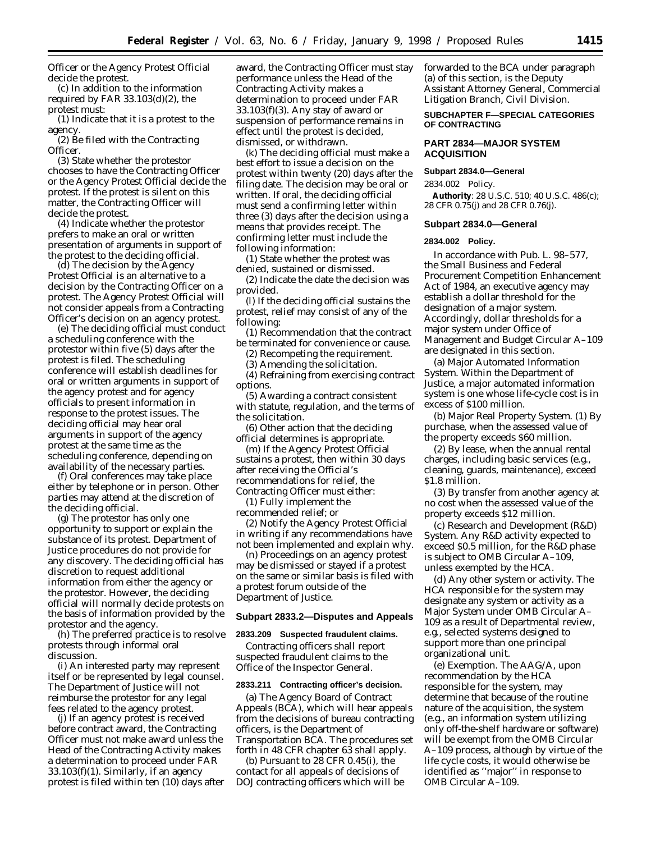Officer or the Agency Protest Official decide the protest.

(c) In addition to the information required by FAR 33.103(d)(2), the protest must:

(1) Indicate that it is a protest to the agency.

(2) Be filed with the Contracting Officer.

(3) State whether the protestor chooses to have the Contracting Officer or the Agency Protest Official decide the protest. If the protest is silent on this matter, the Contracting Officer will decide the protest.

(4) Indicate whether the protestor prefers to make an oral or written presentation of arguments in support of the protest to the deciding official.

(d) The decision by the Agency Protest Official is an alternative to a decision by the Contracting Officer on a protest. The Agency Protest Official will not consider appeals from a Contracting Officer's decision on an agency protest.

(e) The deciding official must conduct a scheduling conference with the protestor within five (5) days after the protest is filed. The scheduling conference will establish deadlines for oral or written arguments in support of the agency protest and for agency officials to present information in response to the protest issues. The deciding official may hear oral arguments in support of the agency protest at the same time as the scheduling conference, depending on availability of the necessary parties.

(f) Oral conferences may take place either by telephone or in person. Other parties may attend at the discretion of the deciding official.

(g) The protestor has only one opportunity to support or explain the substance of its protest. Department of Justice procedures do not provide for any discovery. The deciding official has discretion to request additional information from either the agency or the protestor. However, the deciding official will normally decide protests on the basis of information provided by the protestor and the agency.

(h) The preferred practice is to resolve protests through informal oral discussion.

(i) An interested party may represent itself or be represented by legal counsel. The Department of Justice will not reimburse the protestor for any legal fees related to the agency protest.

(j) If an agency protest is received before contract award, the Contracting Officer must not make award unless the Head of the Contracting Activity makes a determination to proceed under FAR  $33.103(f)(1)$ . Similarly, if an agency protest is filed within ten (10) days after

award, the Contracting Officer must stay performance unless the Head of the Contracting Activity makes a determination to proceed under FAR 33.103(f)(3). Any stay of award or suspension of performance remains in effect until the protest is decided, dismissed, or withdrawn.

(k) The deciding official must make a best effort to issue a decision on the protest within twenty (20) days after the filing date. The decision may be oral or written. If oral, the deciding official must send a confirming letter within three (3) days after the decision using a means that provides receipt. The confirming letter must include the following information:

(1) State whether the protest was denied, sustained or dismissed.

(2) Indicate the date the decision was provided.

(l) If the deciding official sustains the protest, relief may consist of any of the following:

(1) Recommendation that the contract be terminated for convenience or cause.

(2) Recompeting the requirement.

(3) Amending the solicitation.

(4) Refraining from exercising contract options.

(5) Awarding a contract consistent with statute, regulation, and the terms of the solicitation.

(6) Other action that the deciding official determines is appropriate.

(m) If the Agency Protest Official sustains a protest, then within 30 days after receiving the Official's recommendations for relief, the

Contracting Officer must either: (1) Fully implement the

recommended relief; or

(2) Notify the Agency Protest Official in writing if any recommendations have not been implemented and explain why.

(n) Proceedings on an agency protest may be dismissed or stayed if a protest on the same or similar basis is filed with a protest forum outside of the Department of Justice.

### **Subpart 2833.2—Disputes and Appeals**

#### **2833.209 Suspected fraudulent claims.**

Contracting officers shall report suspected fraudulent claims to the Office of the Inspector General.

### **2833.211 Contracting officer's decision.**

(a) The Agency Board of Contract Appeals (BCA), which will hear appeals from the decisions of bureau contracting officers, is the Department of Transportation BCA. The procedures set forth in 48 CFR chapter 63 shall apply.

(b) Pursuant to 28 CFR 0.45(i), the contact for all appeals of decisions of DOJ contracting officers which will be forwarded to the BCA under paragraph (a) of this section, is the Deputy Assistant Attorney General, Commercial Litigation Branch, Civil Division.

## **SUBCHAPTER F—SPECIAL CATEGORIES OF CONTRACTING**

### **PART 2834—MAJOR SYSTEM ACQUISITION**

## **Subpart 2834.0—General**

2834.002 Policy.

**Authority**: 28 U.S.C. 510; 40 U.S.C. 486(c); 28 CFR 0.75(j) and 28 CFR 0.76(j).

## **Subpart 2834.0—General**

### **2834.002 Policy.**

In accordance with Pub. L. 98–577, the Small Business and Federal Procurement Competition Enhancement Act of 1984, an executive agency may establish a dollar threshold for the designation of a major system. Accordingly, dollar thresholds for a major system under Office of Management and Budget Circular A–109 are designated in this section.

(a) *Major Automated Information System.* Within the Department of Justice, a major automated information system is one whose life-cycle cost is in excess of \$100 million.

(b) *Major Real Property System.* (1) By purchase, when the assessed value of the property exceeds \$60 million.

(2) By lease, when the annual rental charges, including basic services (e.g., cleaning, guards, maintenance), exceed \$1.8 million.

(3) By transfer from another agency at no cost when the assessed value of the property exceeds \$12 million.

(c) *Research and Development (R&D) System.* Any R&D activity expected to exceed \$0.5 million, for the R&D phase is subject to OMB Circular A–109, unless exempted by the HCA.

(d) *Any other system or activity.* The HCA responsible for the system may designate any system or activity as a Major System under OMB Circular A– 109 as a result of Departmental review, e.g., selected systems designed to support more than one principal organizational unit.

(e) *Exemption.* The AAG/A, upon recommendation by the HCA responsible for the system, may determine that because of the routine nature of the acquisition, the system (e.g., an information system utilizing only off-the-shelf hardware or software) will be exempt from the OMB Circular A–109 process, although by virtue of the life cycle costs, it would otherwise be identified as ''major'' in response to OMB Circular A–109.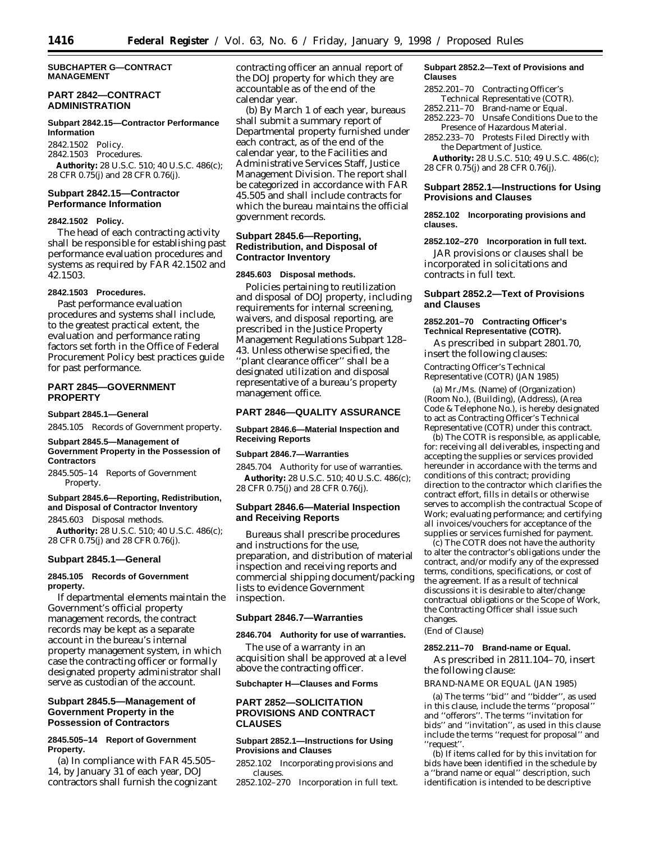## **SUBCHAPTER G—CONTRACT MANAGEMENT**

## **PART 2842—CONTRACT ADMINISTRATION**

#### **Subpart 2842.15—Contractor Performance Information**

2842.1502 Policy. 2842.1503 Procedures.

**Authority:** 28 U.S.C. 510; 40 U.S.C. 486(c); 28 CFR 0.75(j) and 28 CFR 0.76(j).

## **Subpart 2842.15—Contractor Performance Information**

## **2842.1502 Policy.**

The head of each contracting activity shall be responsible for establishing past performance evaluation procedures and systems as required by FAR 42.1502 and 42.1503.

## **2842.1503 Procedures.**

Past performance evaluation procedures and systems shall include, to the greatest practical extent, the evaluation and performance rating factors set forth in the Office of Federal Procurement Policy best practices guide for past performance.

## **PART 2845—GOVERNMENT PROPERTY**

### **Subpart 2845.1—General**

2845.105 Records of Government property.

#### **Subpart 2845.5—Management of Government Property in the Possession of Contractors**

2845.505–14 Reports of Government Property.

### **Subpart 2845.6—Reporting, Redistribution, and Disposal of Contractor Inventory**

2845.603 Disposal methods.

**Authority:** 28 U.S.C. 510; 40 U.S.C. 486(c); 28 CFR 0.75(j) and 28 CFR 0.76(j).

### **Subpart 2845.1—General**

### **2845.105 Records of Government property.**

If departmental elements maintain the Government's official property management records, the contract records may be kept as a separate account in the bureau's internal property management system, in which case the contracting officer or formally designated property administrator shall serve as custodian of the account.

## **Subpart 2845.5—Management of Government Property in the Possession of Contractors**

### **2845.505–14 Report of Government Property.**

(a) In compliance with FAR 45.505– 14, by January 31 of each year, DOJ contractors shall furnish the cognizant contracting officer an annual report of the DOJ property for which they are accountable as of the end of the calendar year.

(b) By March 1 of each year, bureaus shall submit a summary report of Departmental property furnished under each contract, as of the end of the calendar year, to the Facilities and Administrative Services Staff, Justice Management Division. The report shall be categorized in accordance with FAR 45.505 and shall include contracts for which the bureau maintains the official government records.

## **Subpart 2845.6—Reporting, Redistribution, and Disposal of Contractor Inventory**

### **2845.603 Disposal methods.**

Policies pertaining to reutilization and disposal of DOJ property, including requirements for internal screening, waivers, and disposal reporting, are prescribed in the Justice Property Management Regulations Subpart 128– 43. Unless otherwise specified, the ''plant clearance officer'' shall be a designated utilization and disposal representative of a bureau's property management office.

## **PART 2846—QUALITY ASSURANCE**

## **Subpart 2846.6—Material Inspection and Receiving Reports**

## **Subpart 2846.7—Warranties**

2845.704 Authority for use of warranties. **Authority:** 28 U.S.C. 510; 40 U.S.C. 486(c); 28 CFR 0.75(j) and 28 CFR 0.76(j).

## **Subpart 2846.6—Material Inspection and Receiving Reports**

Bureaus shall prescribe procedures and instructions for the use, preparation, and distribution of material inspection and receiving reports and commercial shipping document/packing lists to evidence Government inspection.

### **Subpart 2846.7—Warranties**

#### **2846.704 Authority for use of warranties.**

The use of a warranty in an acquisition shall be approved at a level above the contracting officer.

### **Subchapter H—Clauses and Forms**

## **PART 2852—SOLICITATION PROVISIONS AND CONTRACT CLAUSES**

## **Subpart 2852.1—Instructions for Using Provisions and Clauses**

2852.102 Incorporating provisions and clauses.

2852.102–270 Incorporation in full text.

### **Subpart 2852.2—Text of Provisions and Clauses**

- 2852.201–70 Contracting Officer's Technical Representative (COTR).
- 2852.211–70 Brand-name or Equal.
- 2852.223–70 Unsafe Conditions Due to the Presence of Hazardous Material.
- 2852.233–70 Protests Filed Directly with the Department of Justice.

**Authority:** 28 U.S.C. 510; 49 U.S.C. 486(c); 28 CFR 0.75(j) and 28 CFR 0.76(j).

## **Subpart 2852.1—Instructions for Using Provisions and Clauses**

**2852.102 Incorporating provisions and clauses.**

#### **2852.102–270 Incorporation in full text.**

JAR provisions or clauses shall be incorporated in solicitations and contracts in full text.

## **Subpart 2852.2—Text of Provisions and Clauses**

## **2852.201–70 Contracting Officer's Technical Representative (COTR).**

As prescribed in subpart 2801.70, insert the following clauses: Contracting Officer's Technical Representative (COTR) (JAN 1985)

(a) Mr./Ms. (Name) of (Organization) (Room No.), (Building), (Address), (Area Code & Telephone No.), is hereby designated to act as Contracting Officer's Technical Representative (COTR) under this contract.

(b) The COTR is responsible, as applicable, for: receiving all deliverables, inspecting and accepting the supplies or services provided hereunder in accordance with the terms and conditions of this contract; providing direction to the contractor which clarifies the contract effort, fills in details or otherwise serves to accomplish the contractual Scope of Work; evaluating performance; and certifying all invoices/vouchers for acceptance of the supplies or services furnished for payment.

(c) The COTR does not have the authority to alter the contractor's obligations under the contract, and/or modify any of the expressed terms, conditions, specifications, or cost of the agreement. If as a result of technical discussions it is desirable to alter/change contractual obligations or the Scope of Work, the Contracting Officer shall issue such changes.

## (End of Clause)

## **2852.211–70 Brand-name or Equal.**

As prescribed in 2811.104–70, insert the following clause:

BRAND-NAME OR EQUAL (JAN 1985)

(a) The terms ''bid'' and ''bidder'', as used in this clause, include the terms ''proposal'' and ''offerors''. The terms ''invitation for bids'' and ''invitation'', as used in this clause include the terms ''request for proposal'' and ''request''.

(b) If items called for by this invitation for bids have been identified in the schedule by a ''brand name or equal'' description, such identification is intended to be descriptive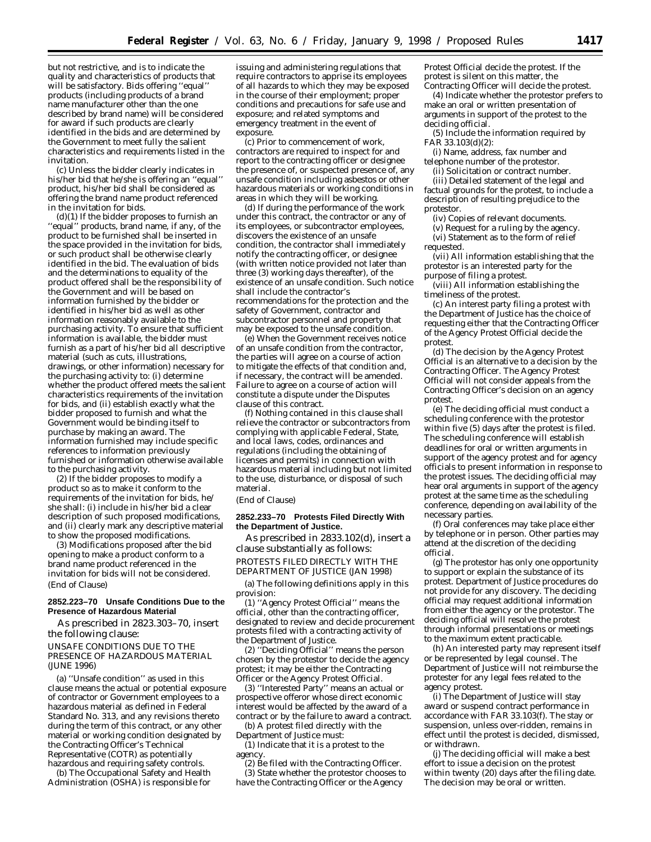but not restrictive, and is to indicate the quality and characteristics of products that will be satisfactory. Bids offering ''equal'' products (including products of a brand name manufacturer other than the one described by brand name) will be considered for award if such products are clearly identified in the bids and are determined by the Government to meet fully the salient characteristics and requirements listed in the invitation.

(c) Unless the bidder clearly indicates in his/her bid that he/she is offering an ''equal'' product, his/her bid shall be considered as offering the brand name product referenced in the invitation for bids.

(d)(1) If the bidder proposes to furnish an ''equal'' products, brand name, if any, of the product to be furnished shall be inserted in the space provided in the invitation for bids, or such product shall be otherwise clearly identified in the bid. The evaluation of bids and the determinations to equality of the product offered shall be the responsibility of the Government and will be based on information furnished by the bidder or identified in his/her bid as well as other information reasonably available to the purchasing activity. To ensure that sufficient information is available, the bidder must furnish as a part of his/her bid all descriptive material (such as cuts, illustrations, drawings, or other information) necessary for the purchasing activity to: (i) determine whether the product offered meets the salient characteristics requirements of the invitation for bids, and (ii) establish exactly what the bidder proposed to furnish and what the Government would be binding itself to purchase by making an award. The information furnished may include specific references to information previously furnished or information otherwise available to the purchasing activity.

(2) If the bidder proposes to modify a product so as to make it conform to the requirements of the invitation for bids, he/ she shall: (i) include in his/her bid a clear description of such proposed modifications, and (ii) clearly mark any descriptive material to show the proposed modifications.

(3) Modifications proposed after the bid opening to make a product conform to a brand name product referenced in the invitation for bids will not be considered. (End of Clause)

### **2852.223–70 Unsafe Conditions Due to the Presence of Hazardous Material**

As prescribed in 2823.303–70, insert the following clause:

UNSAFE CONDITIONS DUE TO THE PRESENCE OF HAZARDOUS MATERIAL (JUNE 1996)

(a) ''Unsafe condition'' as used in this clause means the actual or potential exposure of contractor or Government employees to a hazardous material as defined in Federal Standard No. 313, and any revisions thereto during the term of this contract, or any other material or working condition designated by the Contracting Officer's Technical Representative (COTR) as potentially hazardous and requiring safety controls.

(b) The Occupational Safety and Health Administration (OSHA) is responsible for

issuing and administering regulations that require contractors to apprise its employees of all hazards to which they may be exposed in the course of their employment; proper conditions and precautions for safe use and exposure; and related symptoms and emergency treatment in the event of exposure.

(c) Prior to commencement of work, contractors are required to inspect for and report to the contracting officer or designee the presence of, or suspected presence of, any unsafe condition including asbestos or other hazardous materials or working conditions in areas in which they will be working.

(d) If during the performance of the work under this contract, the contractor or any of its employees, or subcontractor employees, discovers the existence of an unsafe condition, the contractor shall immediately notify the contracting officer, or designee (with written notice provided not later than three (3) working days thereafter), of the existence of an unsafe condition. Such notice shall include the contractor's recommendations for the protection and the safety of Government, contractor and subcontractor personnel and property that may be exposed to the unsafe condition.

(e) When the Government receives notice of an unsafe condition from the contractor, the parties will agree on a course of action to mitigate the effects of that condition and, if necessary, the contract will be amended. Failure to agree on a course of action will constitute a dispute under the Disputes clause of this contract.

(f) Nothing contained in this clause shall relieve the contractor or subcontractors from complying with applicable Federal, State, and local laws, codes, ordinances and regulations (including the obtaining of licenses and permits) in connection with hazardous material including but not limited to the use, disturbance, or disposal of such material.

## (End of Clause)

### **2852.233–70 Protests Filed Directly With the Department of Justice.**

As prescribed in 2833.102(d), insert a clause substantially as follows: PROTESTS FILED DIRECTLY WITH THE DEPARTMENT OF JUSTICE (JAN 1998)

(a) The following definitions apply in this provision:

(1) ''Agency Protest Official'' means the official, other than the contracting officer, designated to review and decide procurement protests filed with a contracting activity of the Department of Justice.

(2) ''Deciding Official'' means the person chosen by the protestor to decide the agency protest; it may be either the Contracting Officer or the Agency Protest Official.

(3) ''Interested Party'' means an actual or prospective offeror whose direct economic interest would be affected by the award of a contract or by the failure to award a contract.

(b) A protest filed directly with the Department of Justice must:

(1) Indicate that it is a protest to the agency.

(2) Be filed with the Contracting Officer. (3) State whether the protestor chooses to have the Contracting Officer or the Agency

Protest Official decide the protest. If the protest is silent on this matter, the Contracting Officer will decide the protest.

(4) Indicate whether the protestor prefers to make an oral or written presentation of arguments in support of the protest to the deciding official.

(5) Include the information required by FAR 33.103(d)(2):

(i) Name, address, fax number and telephone number of the protestor.

(ii) Solicitation or contract number.

(iii) Detailed statement of the legal and factual grounds for the protest, to include a description of resulting prejudice to the protestor.

(iv) Copies of relevant documents.

(v) Request for a ruling by the agency. (vi) Statement as to the form of relief

requested.

(vii) All information establishing that the protestor is an interested party for the purpose of filing a protest.

(viii) All information establishing the timeliness of the protest.

(c) An interest party filing a protest with the Department of Justice has the choice of requesting either that the Contracting Officer of the Agency Protest Official decide the protest.

(d) The decision by the Agency Protest Official is an alternative to a decision by the Contracting Officer. The Agency Protest Official will not consider appeals from the Contracting Officer's decision on an agency protest.

(e) The deciding official must conduct a scheduling conference with the protestor within five (5) days after the protest is filed. The scheduling conference will establish deadlines for oral or written arguments in support of the agency protest and for agency officials to present information in response to the protest issues. The deciding official may hear oral arguments in support of the agency protest at the same time as the scheduling conference, depending on availability of the necessary parties.

(f) Oral conferences may take place either by telephone or in person. Other parties may attend at the discretion of the deciding official.

(g) The protestor has only one opportunity to support or explain the substance of its protest. Department of Justice procedures do not provide for any discovery. The deciding official may request additional information from either the agency or the protestor. The deciding official will resolve the protest through informal presentations or meetings to the maximum extent practicable.

(h) An interested party may represent itself or be represented by legal counsel. The Department of Justice will not reimburse the protester for any legal fees related to the agency protest.

(i) The Department of Justice will stay award or suspend contract performance in accordance with FAR 33.103(f). The stay or suspension, unless over-ridden, remains in effect until the protest is decided, dismissed, or withdrawn.

(j) The deciding official will make a best effort to issue a decision on the protest within twenty (20) days after the filing date. The decision may be oral or written.